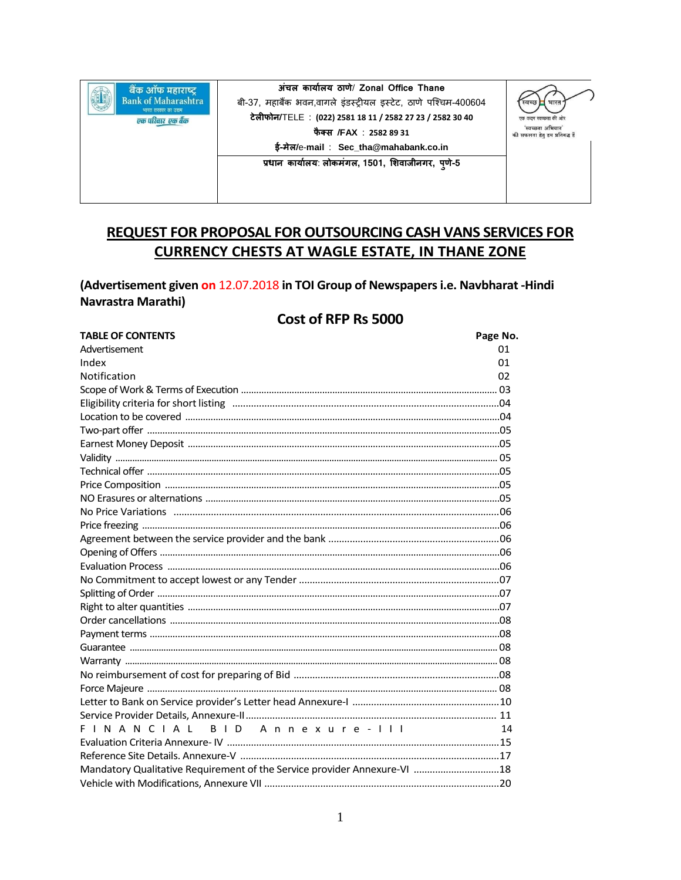| बैंक ऑफ महाराष्ट्र<br><b>Bank of Maharashtra</b><br>भारत सरकार का उद्यम<br>एक परिवार एक बैंक | अंचल कार्यालय ठाणे/ Zonal Office Thane<br>बी-37, महाबैंक भवन,वागले इंडस्ट्रीयल इस्टेट, ठाणे पश्चिम-400604<br>टेलीफोन/TELE: (022) 2581 18 11 / 2582 27 23 / 2582 30 40<br>फैक्स /FAX: 2582 8931<br>ई-मेल/e-mail: Sec tha@mahabank.co.in<br>प्रधान कार्यालय: लोकमंगल, 1501, शिवाजीनगर, पुणे-5 | भारत<br>स्वच्छ<br>एक कदम स्वच्छता की ओर<br>'स्वच्छता अभियान'<br>की सफलता हेतु हम प्रतिबद्ध हैं |
|----------------------------------------------------------------------------------------------|---------------------------------------------------------------------------------------------------------------------------------------------------------------------------------------------------------------------------------------------------------------------------------------------|------------------------------------------------------------------------------------------------|
|----------------------------------------------------------------------------------------------|---------------------------------------------------------------------------------------------------------------------------------------------------------------------------------------------------------------------------------------------------------------------------------------------|------------------------------------------------------------------------------------------------|

# **REQUEST FOR PROPOSAL FOR OUTSOURCING CASH VANS SERVICES FOR CURRENCY CHESTS AT WAGLE ESTATE, IN THANE ZONE**

(Advertisement given on 12.07.2018 in TOI Group of Newspapers i.e. Navbharat -Hindi Navrastra Marathi)

# Cost of RFP Rs 5000

| <b>TABLE OF CONTENTS</b>                                                  | Page No. |
|---------------------------------------------------------------------------|----------|
| Advertisement                                                             | 01       |
| Index                                                                     | 01       |
| Notification                                                              | 02       |
|                                                                           |          |
|                                                                           |          |
|                                                                           |          |
|                                                                           |          |
|                                                                           |          |
|                                                                           |          |
|                                                                           |          |
|                                                                           |          |
|                                                                           |          |
|                                                                           |          |
|                                                                           |          |
|                                                                           |          |
|                                                                           |          |
|                                                                           |          |
|                                                                           |          |
|                                                                           |          |
|                                                                           |          |
|                                                                           |          |
|                                                                           |          |
|                                                                           |          |
|                                                                           |          |
|                                                                           |          |
|                                                                           |          |
|                                                                           |          |
|                                                                           |          |
| FINANCIAL BID Annexure-III                                                | 14       |
|                                                                           |          |
|                                                                           |          |
| Mandatory Qualitative Requirement of the Service provider Annexure-VI  18 |          |
|                                                                           |          |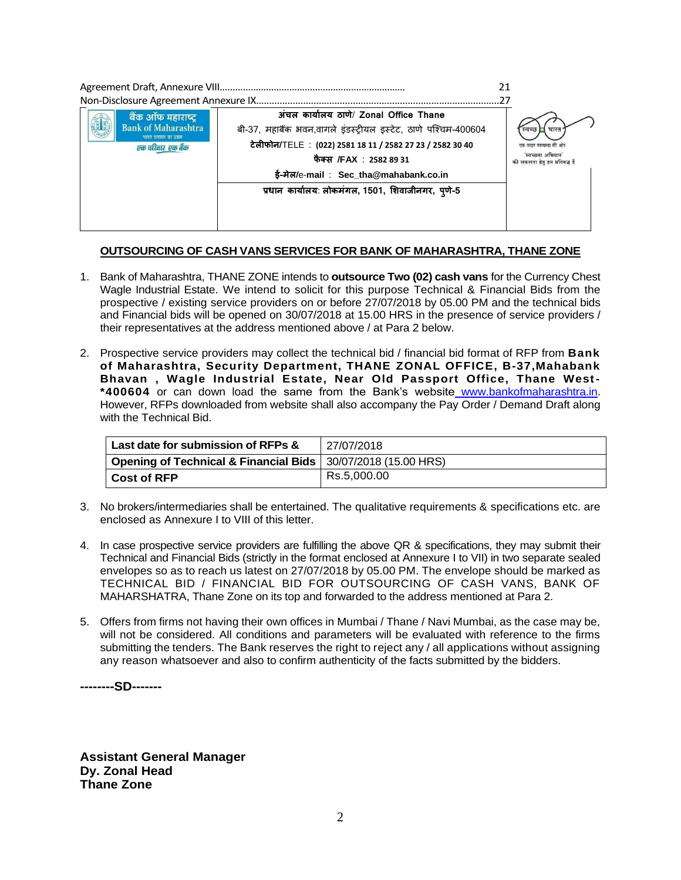|                                                                                              |                                                                                                                                                                                                                                          | 21                                                                                   |
|----------------------------------------------------------------------------------------------|------------------------------------------------------------------------------------------------------------------------------------------------------------------------------------------------------------------------------------------|--------------------------------------------------------------------------------------|
| बैंक ऑफ महाराष्ट्र<br><b>Bank of Maharashtra</b><br>भारत सरकार का उद्यम<br>एक परिवार एक बैंक | अंचल कार्यालय ठाणे/ Zonal Office Thane<br>बी-37, महाबैंक भवन,वागले इंडस्ट्रीयल इस्टेट, ठाणे पश्चिम-400604<br>टेलीफोन/TELE: (022) 2581 18 11 / 2582 27 23 / 2582 30 40<br>फैक्स /FAX : 2582 89 31<br>ई-मेल/e-mail: Sec_tha@mahabank.co.in | भारत<br>एक कदम स्वच्छता की ओर<br>'स्वच्छता अभियान'<br>की सफलता हेतु हम प्रतिबद्ध हैं |
|                                                                                              | प्रधान कार्यालय: लोकमंगल, 1501, शिवाजीनगर, पुणे-5                                                                                                                                                                                        |                                                                                      |

#### **OUTSOURCING OF CASH VANS SERVICES FOR BANK OF MAHARASHTRA, THANE ZONE**

- 1. Bank of Maharashtra, THANE ZONE intends to **outsource Two (02) cash vans** for the Currency Chest Wagle Industrial Estate. We intend to solicit for this purpose Technical & Financial Bids from the prospective / existing service providers on or before 27/07/2018 by 05.00 PM and the technical bids and Financial bids will be opened on 30/07/2018 at 15.00 HRS in the presence of service providers / their representatives at the address mentioned above / at Para 2 below.
- 2. Prospective service providers may collect the technical bid / financial bid format of RFP from **Bank of Maharashtra, Security Department, THANE ZONAL OFFICE, B-37,Mahabank Bhavan , Wagle Industrial Estate, Near Old Passport Office, Thane West- \*400604** or can down load the same from the Bank's website [www.bankofmaharashtra.in.](http://www.bankofmaharashtra.in/) However, RFPs downloaded from website shall also accompany the Pay Order / Demand Draft along with the Technical Bid.

| Last date for submission of RFPs &                             | 27/07/2018  |
|----------------------------------------------------------------|-------------|
| Opening of Technical & Financial Bids   30/07/2018 (15.00 HRS) |             |
| <b>Cost of RFP</b>                                             | Rs.5.000.00 |

- 3. No brokers/intermediaries shall be entertained. The qualitative requirements & specifications etc. are enclosed as Annexure I to VIII of this letter.
- 4. In case prospective service providers are fulfilling the above QR & specifications, they may submit their Technical and Financial Bids (strictly in the format enclosed at Annexure I to VII) in two separate sealed envelopes so as to reach us latest on 27/07/2018 by 05.00 PM. The envelope should be marked as TECHNICAL BID / FINANCIAL BID FOR OUTSOURCING OF CASH VANS, BANK OF MAHARSHATRA, Thane Zone on its top and forwarded to the address mentioned at Para 2.
- 5. Offers from firms not having their own offices in Mumbai / Thane / Navi Mumbai, as the case may be, will not be considered. All conditions and parameters will be evaluated with reference to the firms submitting the tenders. The Bank reserves the right to reject any / all applications without assigning any reason whatsoever and also to confirm authenticity of the facts submitted by the bidders.

**--------SD-------**

**Assistant General Manager Dy. Zonal Head Thane Zone**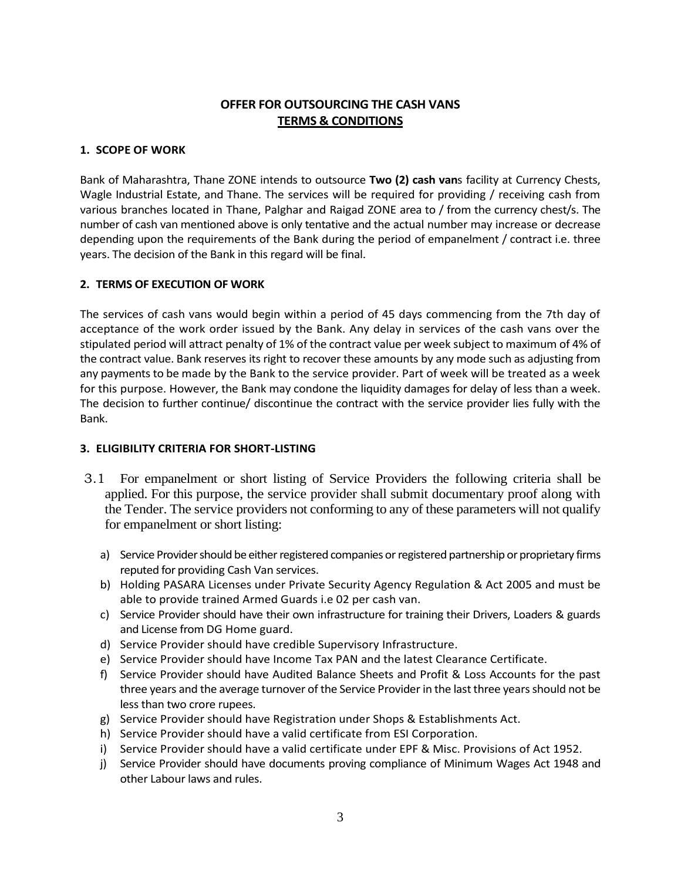## **OFFER FOR OUTSOURCING THE CASH VANS TERMS & CONDITIONS**

### **1. SCOPE OF WORK**

Bank of Maharashtra, Thane ZONE intends to outsource **Two (2) cash van**s facility at Currency Chests, Wagle Industrial Estate, and Thane. The services will be required for providing / receiving cash from various branches located in Thane, Palghar and Raigad ZONE area to / from the currency chest/s. The number of cash van mentioned above is only tentative and the actual number may increase or decrease depending upon the requirements of the Bank during the period of empanelment / contract i.e. three years. The decision of the Bank in this regard will be final.

### **2. TERMS OF EXECUTION OF WORK**

The services of cash vans would begin within a period of 45 days commencing from the 7th day of acceptance of the work order issued by the Bank. Any delay in services of the cash vans over the stipulated period will attract penalty of 1% of the contract value per week subject to maximum of 4% of the contract value. Bank reserves its right to recover these amounts by any mode such as adjusting from any payments to be made by the Bank to the service provider. Part of week will be treated as a week for this purpose. However, the Bank may condone the liquidity damages for delay of less than a week. The decision to further continue/ discontinue the contract with the service provider lies fully with the Bank.

## **3. ELIGIBILITY CRITERIA FOR SHORT-LISTING**

- 3.1 For empanelment or short listing of Service Providers the following criteria shall be applied. For this purpose, the service provider shall submit documentary proof along with the Tender. The service providers not conforming to any of these parameters will not qualify for empanelment or short listing:
	- a) Service Provider should be either registered companies or registered partnership or proprietary firms reputed for providing Cash Van services.
	- b) Holding PASARA Licenses under Private Security Agency Regulation & Act 2005 and must be able to provide trained Armed Guards i.e 02 per cash van.
	- c) Service Provider should have their own infrastructure for training their Drivers, Loaders & guards and License from DG Home guard.
	- d) Service Provider should have credible Supervisory Infrastructure.
	- e) Service Provider should have Income Tax PAN and the latest Clearance Certificate.
	- f) Service Provider should have Audited Balance Sheets and Profit & Loss Accounts for the past three years and the average turnover of the Service Provider in the last three years should not be less than two crore rupees.
	- g) Service Provider should have Registration under Shops & Establishments Act.
	- h) Service Provider should have a valid certificate from ESI Corporation.
	- i) Service Provider should have a valid certificate under EPF & Misc. Provisions of Act 1952.
	- j) Service Provider should have documents proving compliance of Minimum Wages Act 1948 and other Labour laws and rules.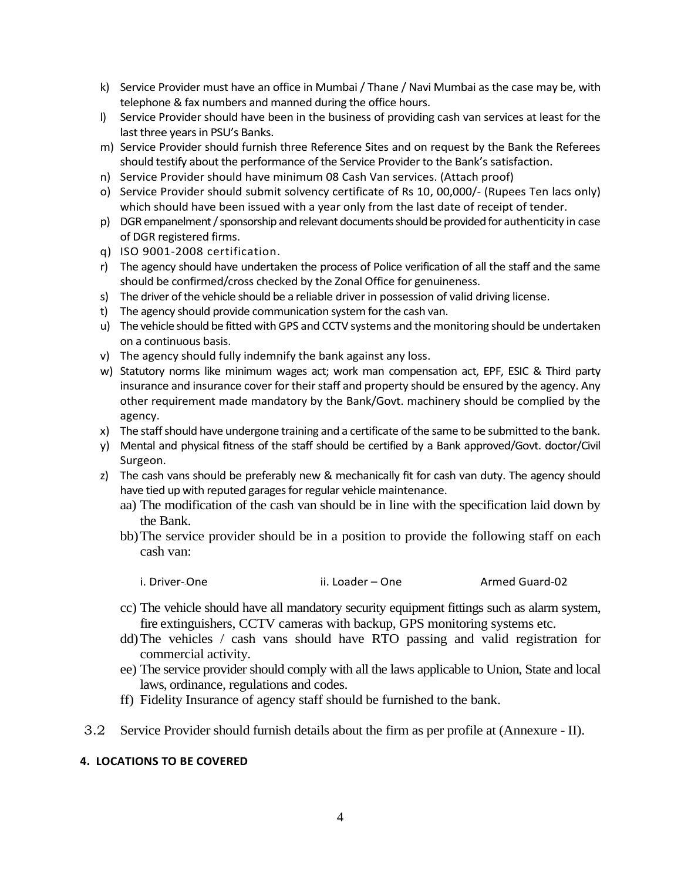- k) Service Provider must have an office in Mumbai / Thane / Navi Mumbai as the case may be, with telephone & fax numbers and manned during the office hours.
- l) Service Provider should have been in the business of providing cash van services at least for the last three years in PSU's Banks.
- m) Service Provider should furnish three Reference Sites and on request by the Bank the Referees should testify about the performance of the Service Provider to the Bank's satisfaction.
- n) Service Provider should have minimum 08 Cash Van services. (Attach proof)
- o) Service Provider should submit solvency certificate of Rs 10, 00,000/- (Rupees Ten lacs only) which should have been issued with a year only from the last date of receipt of tender.
- p) DGR empanelment / sponsorship and relevant documents should be provided for authenticity in case of DGR registered firms.
- q) ISO 9001-2008 certification.
- r) The agency should have undertaken the process of Police verification of all the staff and the same should be confirmed/cross checked by the Zonal Office for genuineness.
- s) The driver of the vehicle should be a reliable driver in possession of valid driving license.
- t) The agency should provide communication system for the cash van.
- u) The vehicle should be fitted with GPS and CCTV systems and the monitoring should be undertaken on a continuous basis.
- v) The agency should fully indemnify the bank against any loss.
- w) Statutory norms like minimum wages act; work man compensation act, EPF, ESIC & Third party insurance and insurance cover for their staff and property should be ensured by the agency. Any other requirement made mandatory by the Bank/Govt. machinery should be complied by the agency.
- x) The staff should have undergone training and a certificate of the same to be submitted to the bank.
- y) Mental and physical fitness of the staff should be certified by a Bank approved/Govt. doctor/Civil Surgeon.
- z) The cash vans should be preferably new & mechanically fit for cash van duty. The agency should have tied up with reputed garages for regular vehicle maintenance.
	- aa) The modification of the cash van should be in line with the specification laid down by the Bank.
	- bb)The service provider should be in a position to provide the following staff on each cash van:
		- i. Driver-One is a state of the included in Loader One in the Armed Guard-02
	- cc) The vehicle should have all mandatory security equipment fittings such as alarm system, fire extinguishers, CCTV cameras with backup, GPS monitoring systems etc.
	- dd)The vehicles / cash vans should have RTO passing and valid registration for commercial activity.
	- ee) The service provider should comply with all the laws applicable to Union, State and local laws, ordinance, regulations and codes.
	- ff) Fidelity Insurance of agency staff should be furnished to the bank.
- 3.2 Service Provider should furnish details about the firm as per profile at (Annexure II).

## **4. LOCATIONS TO BE COVERED**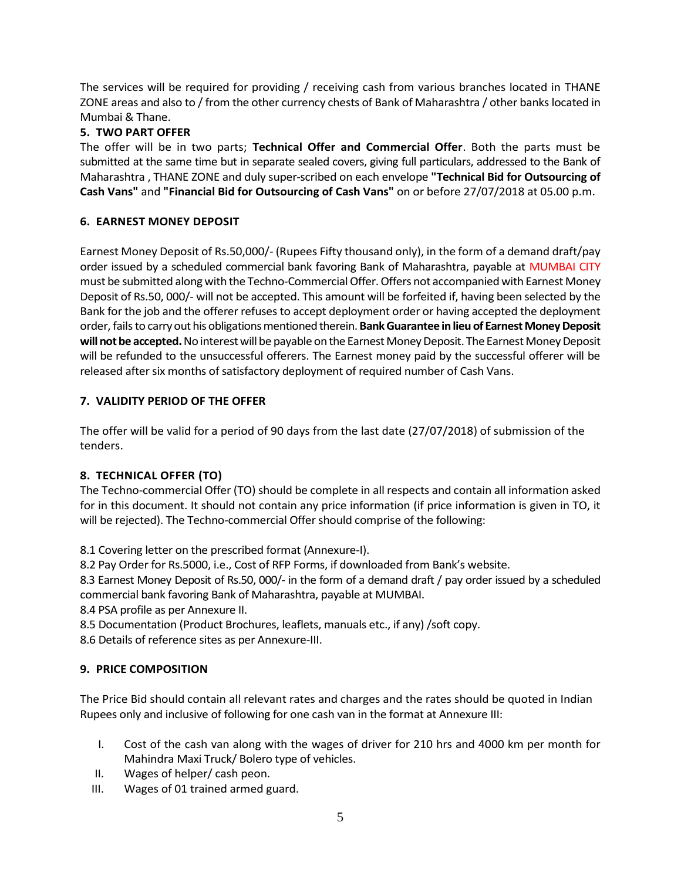The services will be required for providing / receiving cash from various branches located in THANE ZONE areas and also to / from the other currency chests of Bank of Maharashtra / other banks located in Mumbai & Thane.

## **5. TWO PART OFFER**

The offer will be in two parts; **Technical Offer and Commercial Offer**. Both the parts must be submitted at the same time but in separate sealed covers, giving full particulars, addressed to the Bank of Maharashtra , THANE ZONE and duly super-scribed on each envelope **"Technical Bid for Outsourcing of Cash Vans"** and **"Financial Bid for Outsourcing of Cash Vans"** on or before 27/07/2018 at 05.00 p.m.

## **6. EARNEST MONEY DEPOSIT**

Earnest Money Deposit of Rs.50,000/- (Rupees Fifty thousand only), in the form of a demand draft/pay order issued by a scheduled commercial bank favoring Bank of Maharashtra, payable at MUMBAI CITY must be submitted along with the Techno-Commercial Offer. Offers not accompanied with Earnest Money Deposit of Rs.50, 000/- will not be accepted. This amount will be forfeited if, having been selected by the Bank for the job and the offerer refuses to accept deployment order or having accepted the deployment order, fails to carry out his obligations mentioned therein. **Bank Guarantee in lieu of Earnest Money Deposit will not be accepted.**No interest will be payable on the Earnest Money Deposit. The Earnest Money Deposit will be refunded to the unsuccessful offerers. The Earnest money paid by the successful offerer will be released after six months of satisfactory deployment of required number of Cash Vans.

## **7. VALIDITY PERIOD OF THE OFFER**

The offer will be valid for a period of 90 days from the last date (27/07/2018) of submission of the tenders.

## **8. TECHNICAL OFFER (TO)**

The Techno-commercial Offer (TO) should be complete in all respects and contain all information asked for in this document. It should not contain any price information (if price information is given in TO, it will be rejected). The Techno-commercial Offer should comprise of the following:

8.1 Covering letter on the prescribed format (Annexure-I).

8.2 Pay Order for Rs.5000, i.e., Cost of RFP Forms, if downloaded from Bank's website.

8.3 Earnest Money Deposit of Rs.50, 000/- in the form of a demand draft / pay order issued by a scheduled commercial bank favoring Bank of Maharashtra, payable at MUMBAI.

8.4 PSA profile as per Annexure II.

8.5 Documentation (Product Brochures, leaflets, manuals etc., if any) /soft copy.

8.6 Details of reference sites as per Annexure-III.

## **9. PRICE COMPOSITION**

The Price Bid should contain all relevant rates and charges and the rates should be quoted in Indian Rupees only and inclusive of following for one cash van in the format at Annexure III:

- I. Cost of the cash van along with the wages of driver for 210 hrs and 4000 km per month for Mahindra Maxi Truck/ Bolero type of vehicles.
- II. Wages of helper/ cash peon.
- III. Wages of 01 trained armed guard.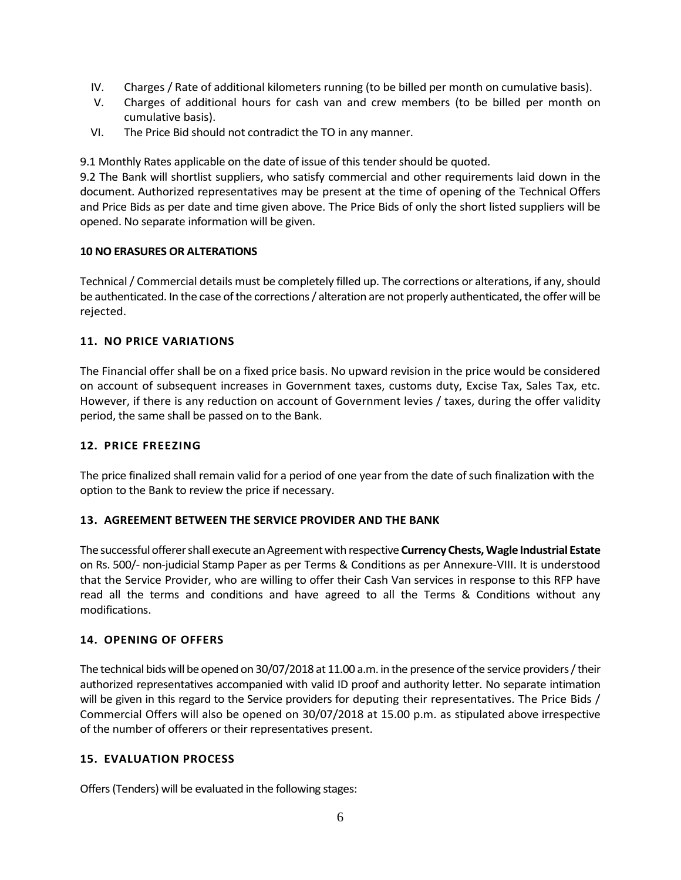- IV. Charges / Rate of additional kilometers running (to be billed per month on cumulative basis).
- V. Charges of additional hours for cash van and crew members (to be billed per month on cumulative basis).
- VI. The Price Bid should not contradict the TO in any manner.

9.1 Monthly Rates applicable on the date of issue of this tender should be quoted.

9.2 The Bank will shortlist suppliers, who satisfy commercial and other requirements laid down in the document. Authorized representatives may be present at the time of opening of the Technical Offers and Price Bids as per date and time given above. The Price Bids of only the short listed suppliers will be opened. No separate information will be given.

#### **10 NO ERASURES OR ALTERATIONS**

Technical / Commercial details must be completely filled up. The corrections or alterations, if any, should be authenticated. In the case of the corrections / alteration are not properly authenticated, the offer will be rejected.

### **11. NO PRICE VARIATIONS**

The Financial offer shall be on a fixed price basis. No upward revision in the price would be considered on account of subsequent increases in Government taxes, customs duty, Excise Tax, Sales Tax, etc. However, if there is any reduction on account of Government levies / taxes, during the offer validity period, the same shall be passed on to the Bank.

#### **12. PRICE FREEZING**

The price finalized shall remain valid for a period of one year from the date of such finalization with the option to the Bank to review the price if necessary.

#### **13. AGREEMENT BETWEEN THE SERVICE PROVIDER AND THE BANK**

The successful offerer shall execute an Agreement with respective **Currency Chests,Wagle Industrial Estate** on Rs. 500/- non-judicial Stamp Paper as per Terms & Conditions as per Annexure-VIII. It is understood that the Service Provider, who are willing to offer their Cash Van services in response to this RFP have read all the terms and conditions and have agreed to all the Terms & Conditions without any modifications.

## **14. OPENING OF OFFERS**

The technical bids will be opened on 30/07/2018 at 11.00 a.m. in the presence of the service providers / their authorized representatives accompanied with valid ID proof and authority letter. No separate intimation will be given in this regard to the Service providers for deputing their representatives. The Price Bids / Commercial Offers will also be opened on 30/07/2018 at 15.00 p.m. as stipulated above irrespective of the number of offerers or their representatives present.

#### **15. EVALUATION PROCESS**

Offers (Tenders) will be evaluated in the following stages: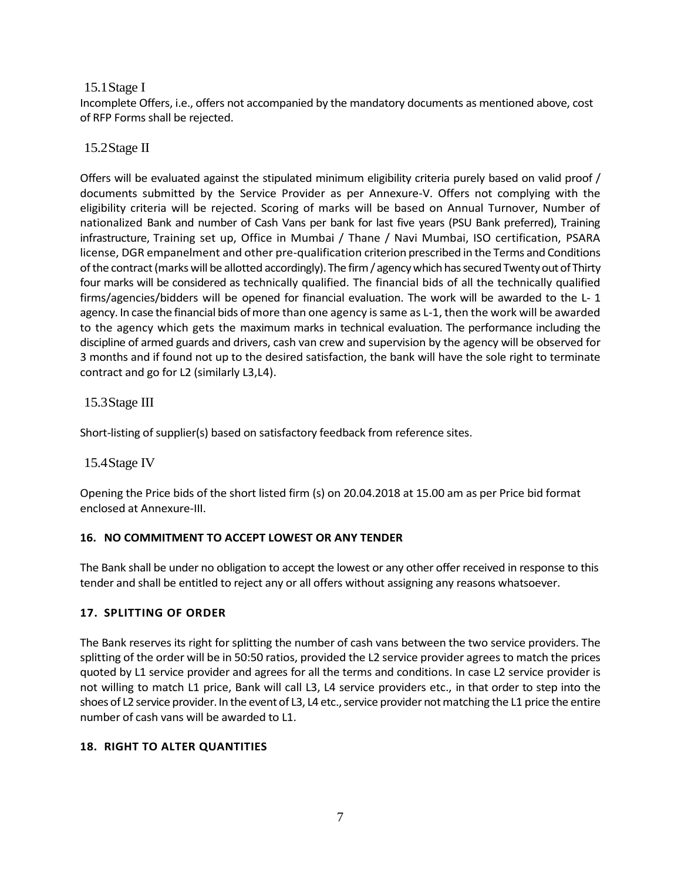### 15.1Stage I

Incomplete Offers, i.e., offers not accompanied by the mandatory documents as mentioned above, cost of RFP Forms shall be rejected.

## 15.2Stage II

Offers will be evaluated against the stipulated minimum eligibility criteria purely based on valid proof / documents submitted by the Service Provider as per Annexure-V. Offers not complying with the eligibility criteria will be rejected. Scoring of marks will be based on Annual Turnover, Number of nationalized Bank and number of Cash Vans per bank for last five years (PSU Bank preferred), Training infrastructure, Training set up, Office in Mumbai / Thane / Navi Mumbai, ISO certification, PSARA license, DGR empanelment and other pre-qualification criterion prescribed in the Terms and Conditions of the contract (marks will be allotted accordingly). The firm/ agency which has secured Twenty out of Thirty four marks will be considered as technically qualified. The financial bids of all the technically qualified firms/agencies/bidders will be opened for financial evaluation. The work will be awarded to the L- 1 agency. In case the financial bids of more than one agency is same as L-1, then the work will be awarded to the agency which gets the maximum marks in technical evaluation. The performance including the discipline of armed guards and drivers, cash van crew and supervision by the agency will be observed for 3 months and if found not up to the desired satisfaction, the bank will have the sole right to terminate contract and go for L2 (similarly L3,L4).

## 15.3Stage III

Short-listing of supplier(s) based on satisfactory feedback from reference sites.

## 15.4Stage IV

Opening the Price bids of the short listed firm (s) on 20.04.2018 at 15.00 am as per Price bid format enclosed at Annexure-III.

## **16. NO COMMITMENT TO ACCEPT LOWEST OR ANY TENDER**

The Bank shall be under no obligation to accept the lowest or any other offer received in response to this tender and shall be entitled to reject any or all offers without assigning any reasons whatsoever.

## **17. SPLITTING OF ORDER**

The Bank reserves its right for splitting the number of cash vans between the two service providers. The splitting of the order will be in 50:50 ratios, provided the L2 service provider agrees to match the prices quoted by L1 service provider and agrees for all the terms and conditions. In case L2 service provider is not willing to match L1 price, Bank will call L3, L4 service providers etc., in that order to step into the shoes of L2 service provider. In the event of L3, L4 etc., service provider not matching the L1 price the entire number of cash vans will be awarded to L1.

## **18. RIGHT TO ALTER QUANTITIES**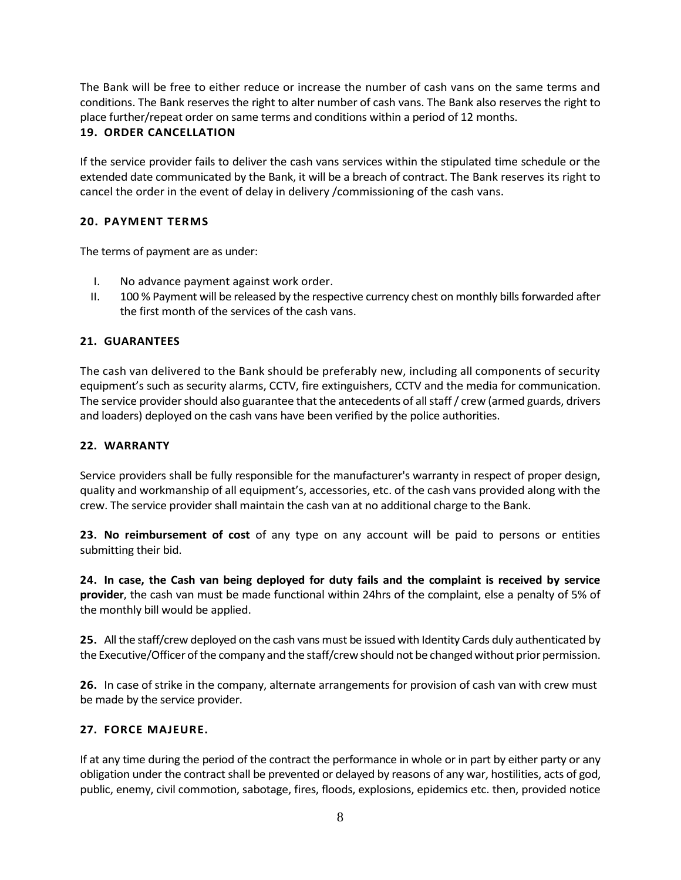The Bank will be free to either reduce or increase the number of cash vans on the same terms and conditions. The Bank reserves the right to alter number of cash vans. The Bank also reserves the right to place further/repeat order on same terms and conditions within a period of 12 months.

### **19. ORDER CANCELLATION**

If the service provider fails to deliver the cash vans services within the stipulated time schedule or the extended date communicated by the Bank, it will be a breach of contract. The Bank reserves its right to cancel the order in the event of delay in delivery /commissioning of the cash vans.

### **20. PAYMENT TERMS**

The terms of payment are as under:

- I. No advance payment against work order.
- II. 100 % Payment will be released by the respective currency chest on monthly bills forwarded after the first month of the services of the cash vans.

## **21. GUARANTEES**

The cash van delivered to the Bank should be preferably new, including all components of security equipment's such as security alarms, CCTV, fire extinguishers, CCTV and the media for communication. The service provider should also guarantee that the antecedents of all staff/ crew (armed guards, drivers and loaders) deployed on the cash vans have been verified by the police authorities.

#### **22. WARRANTY**

Service providers shall be fully responsible for the manufacturer's warranty in respect of proper design, quality and workmanship of all equipment's, accessories, etc. of the cash vans provided along with the crew. The service provider shall maintain the cash van at no additional charge to the Bank.

**23. No reimbursement of cost** of any type on any account will be paid to persons or entities submitting their bid.

**24. In case, the Cash van being deployed for duty fails and the complaint is received by service provider**, the cash van must be made functional within 24hrs of the complaint, else a penalty of 5% of the monthly bill would be applied.

**25.** All the staff/crew deployed on the cash vans must be issued with Identity Cards duly authenticated by the Executive/Officer of the company and the staff/crew should not be changed without prior permission.

**26.** In case of strike in the company, alternate arrangements for provision of cash van with crew must be made by the service provider.

## **27. FORCE MAJEURE.**

If at any time during the period of the contract the performance in whole or in part by either party or any obligation under the contract shall be prevented or delayed by reasons of any war, hostilities, acts of god, public, enemy, civil commotion, sabotage, fires, floods, explosions, epidemics etc. then, provided notice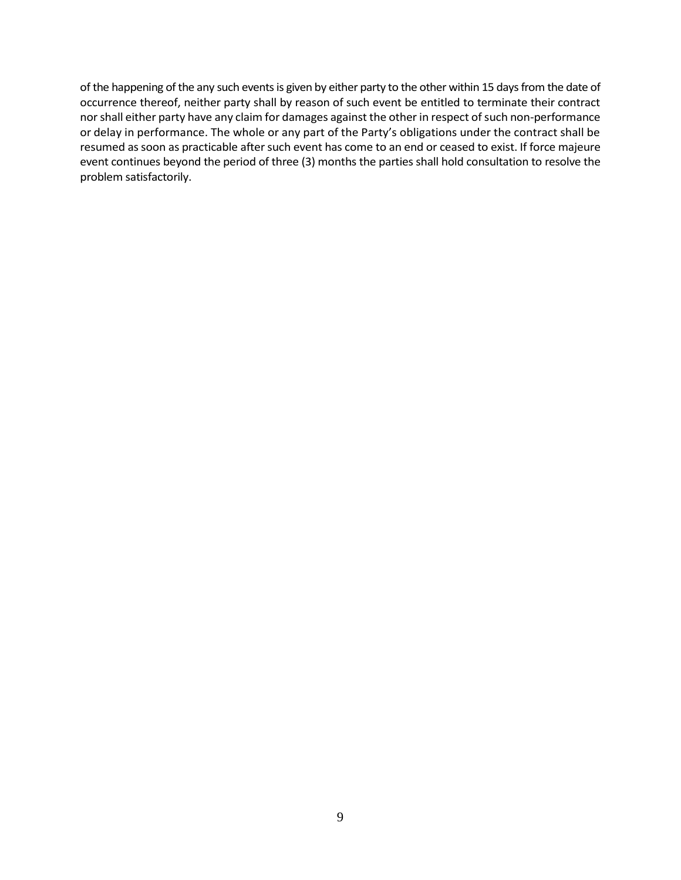of the happening of the any such events is given by either party to the other within 15 days from the date of occurrence thereof, neither party shall by reason of such event be entitled to terminate their contract nor shall either party have any claim for damages against the other in respect of such non-performance or delay in performance. The whole or any part of the Party's obligations under the contract shall be resumed as soon as practicable after such event has come to an end or ceased to exist. If force majeure event continues beyond the period of three (3) months the parties shall hold consultation to resolve the problem satisfactorily.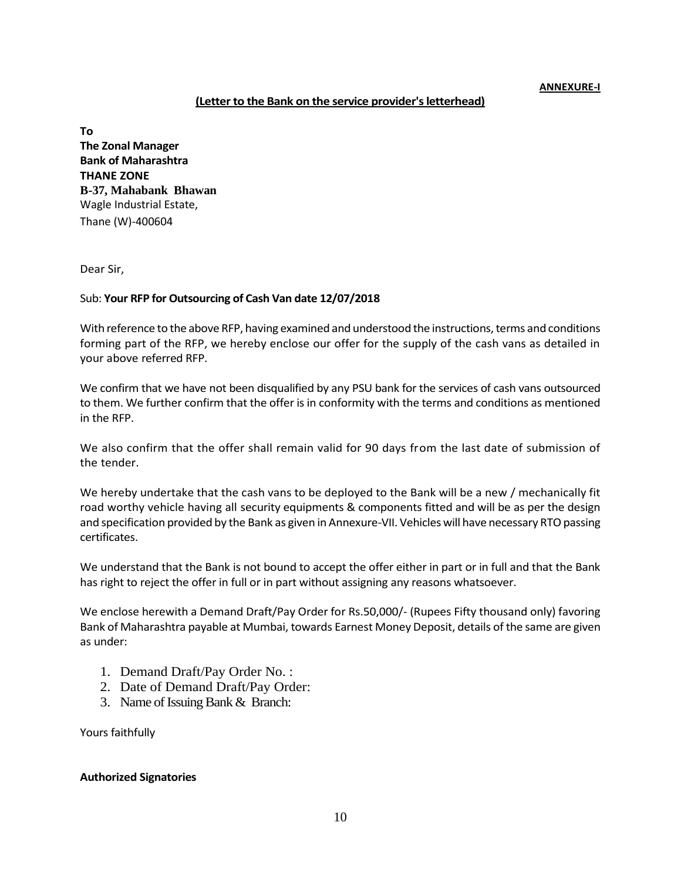#### **ANNEXURE-I**

#### **(Letter to the Bank on the service provider's letterhead)**

**To The Zonal Manager Bank of Maharashtra THANE ZONE B-37, Mahabank Bhawan** Wagle Industrial Estate, Thane (W)-400604

Dear Sir,

#### Sub: **Your RFP for Outsourcing of Cash Van date 12/07/2018**

With reference to the above RFP, having examined and understood the instructions, terms and conditions forming part of the RFP, we hereby enclose our offer for the supply of the cash vans as detailed in your above referred RFP.

We confirm that we have not been disqualified by any PSU bank for the services of cash vans outsourced to them. We further confirm that the offer is in conformity with the terms and conditions as mentioned in the RFP.

We also confirm that the offer shall remain valid for 90 days from the last date of submission of the tender.

We hereby undertake that the cash vans to be deployed to the Bank will be a new / mechanically fit road worthy vehicle having all security equipments & components fitted and will be as per the design and specification provided by the Bank as given in Annexure-VII. Vehicles will have necessary RTO passing certificates.

We understand that the Bank is not bound to accept the offer either in part or in full and that the Bank has right to reject the offer in full or in part without assigning any reasons whatsoever.

We enclose herewith a Demand Draft/Pay Order for Rs.50,000/- (Rupees Fifty thousand only) favoring Bank of Maharashtra payable at Mumbai, towards Earnest Money Deposit, details of the same are given as under:

- 1. Demand Draft/Pay Order No. :
- 2. Date of Demand Draft/Pay Order:
- 3. Name of Issuing Bank & Branch:

Yours faithfully

#### **Authorized Signatories**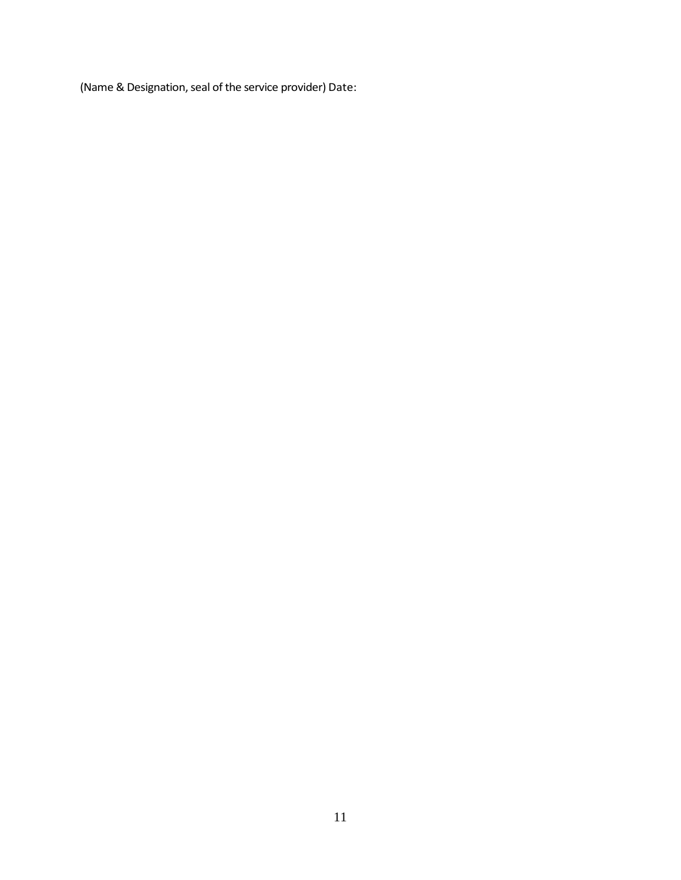(Name & Designation, seal of the service provider) Date: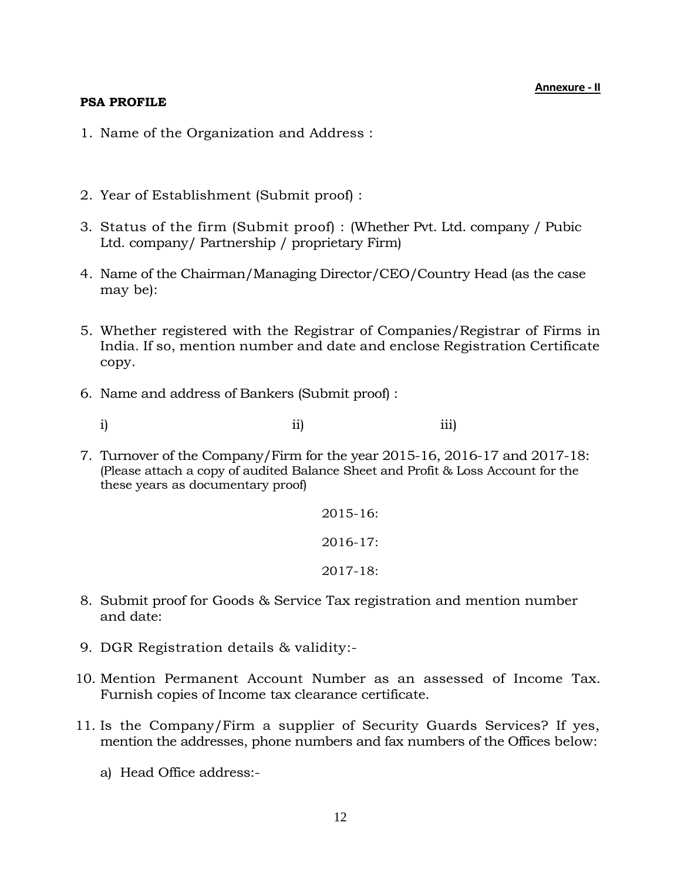### **PSA PROFILE**

- 1. Name of the Organization and Address :
- 2. Year of Establishment (Submit proof) :
- 3. Status of the firm (Submit proof) : (Whether Pvt. Ltd. company / Pubic Ltd. company/ Partnership / proprietary Firm)
- 4. Name of the Chairman/Managing Director/CEO/Country Head (as the case may be):
- 5. Whether registered with the Registrar of Companies/Registrar of Firms in India. If so, mention number and date and enclose Registration Certificate copy.
- 6. Name and address of Bankers (Submit proof) :
	- i) ii) iii)
- 7. Turnover of the Company/Firm for the year 2015-16, 2016-17 and 2017-18: (Please attach a copy of audited Balance Sheet and Profit & Loss Account for the these years as documentary proof)

2015-16: 2016-17: 2017-18:

- 8. Submit proof for Goods & Service Tax registration and mention number and date:
- 9. DGR Registration details & validity:-
- 10. Mention Permanent Account Number as an assessed of Income Tax. Furnish copies of Income tax clearance certificate.
- 11. Is the Company/Firm a supplier of Security Guards Services? If yes, mention the addresses, phone numbers and fax numbers of the Offices below:
	- a) Head Office address:-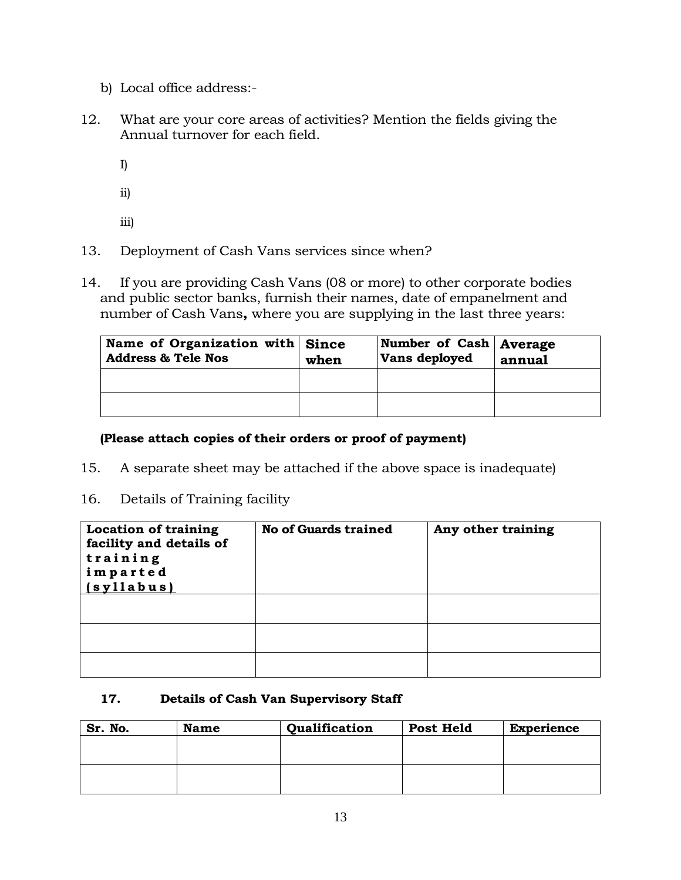- b) Local office address:-
- 12. What are your core areas of activities? Mention the fields giving the Annual turnover for each field.
	- I)
	- ii)
	- iii)
- 13. Deployment of Cash Vans services since when?
- 14. If you are providing Cash Vans (08 or more) to other corporate bodies and public sector banks, furnish their names, date of empanelment and number of Cash Vans**,** where you are supplying in the last three years:

| Name of Organization with Since<br><b>Address &amp; Tele Nos</b> | when | Number of Cash   Average<br>Vans deployed | annual |
|------------------------------------------------------------------|------|-------------------------------------------|--------|
|                                                                  |      |                                           |        |
|                                                                  |      |                                           |        |

## **(Please attach copies of their orders or proof of payment)**

- 15. A separate sheet may be attached if the above space is inadequate)
- 16. Details of Training facility

| <b>Location of training</b><br>facility and details of<br>training<br>imparted<br>$\vert$ (syllabus) | <b>No of Guards trained</b> | Any other training |
|------------------------------------------------------------------------------------------------------|-----------------------------|--------------------|
|                                                                                                      |                             |                    |
|                                                                                                      |                             |                    |
|                                                                                                      |                             |                    |

## **17. Details of Cash Van Supervisory Staff**

| Sr. No. | <b>Name</b> | Qualification | Post Held | <b>Experience</b> |
|---------|-------------|---------------|-----------|-------------------|
|         |             |               |           |                   |
|         |             |               |           |                   |
|         |             |               |           |                   |
|         |             |               |           |                   |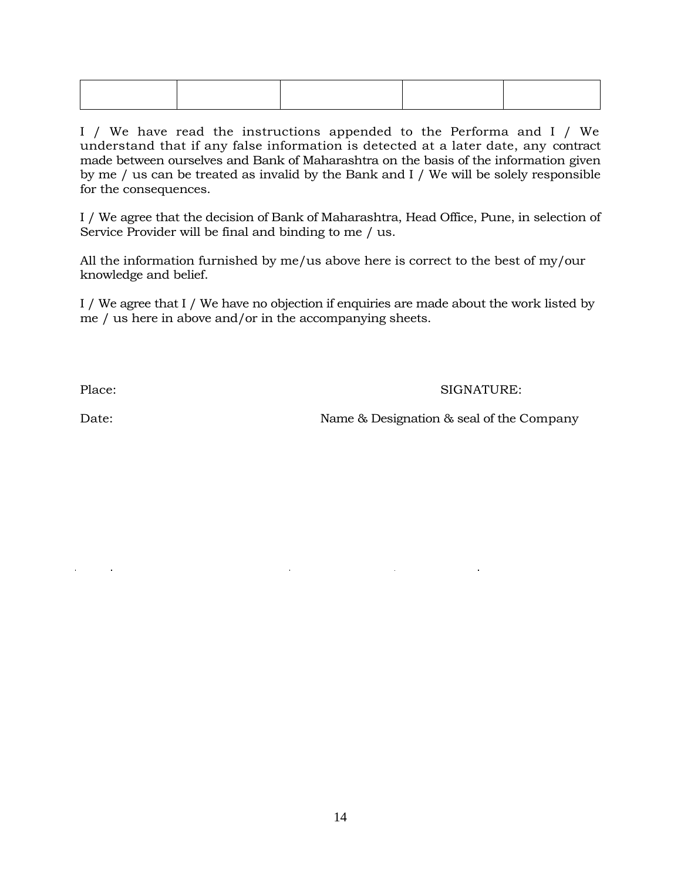I / We have read the instructions appended to the Performa and I / We understand that if any false information is detected at a later date, any contract made between ourselves and Bank of Maharashtra on the basis of the information given by me / us can be treated as invalid by the Bank and I / We will be solely responsible for the consequences.

I / We agree that the decision of Bank of Maharashtra, Head Office, Pune, in selection of Service Provider will be final and binding to me / us.

All the information furnished by me/us above here is correct to the best of my/our knowledge and belief.

I / We agree that I / We have no objection if enquiries are made about the work listed by me / us here in above and/or in the accompanying sheets.

Place: SIGNATURE:

Date: Name & Designation & seal of the Company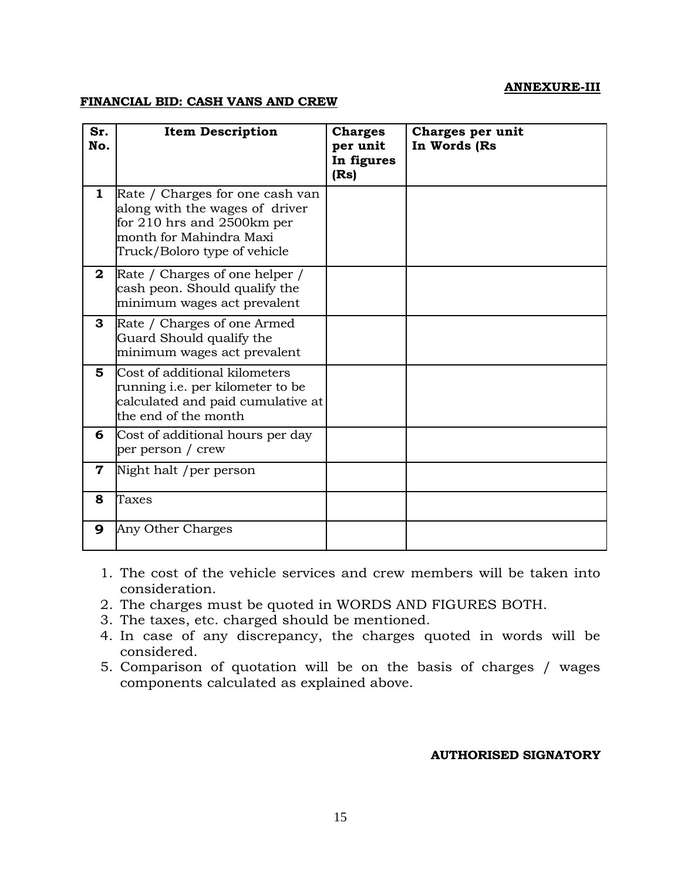#### **ANNEXURE-III**

#### **FINANCIAL BID: CASH VANS AND CREW**

| Sr.<br>No.   | <b>Item Description</b>                                                                                                                                    | <b>Charges</b><br>per unit<br>In figures<br>(Rs) | Charges per unit<br>In Words (Rs |
|--------------|------------------------------------------------------------------------------------------------------------------------------------------------------------|--------------------------------------------------|----------------------------------|
| $\mathbf{1}$ | Rate / Charges for one cash van<br>along with the wages of driver<br>for 210 hrs and 2500km per<br>month for Mahindra Maxi<br>Truck/Boloro type of vehicle |                                                  |                                  |
| $\mathbf{2}$ | Rate / Charges of one helper /<br>cash peon. Should qualify the<br>minimum wages act prevalent                                                             |                                                  |                                  |
| 3            | Rate / Charges of one Armed<br>Guard Should qualify the<br>minimum wages act prevalent                                                                     |                                                  |                                  |
| 5            | Cost of additional kilometers<br>running i.e. per kilometer to be<br>calculated and paid cumulative at<br>the end of the month                             |                                                  |                                  |
| 6            | Cost of additional hours per day<br>per person / crew                                                                                                      |                                                  |                                  |
| $\mathbf 7$  | Night halt / per person                                                                                                                                    |                                                  |                                  |
| 8            | Taxes                                                                                                                                                      |                                                  |                                  |
| 9            | Any Other Charges                                                                                                                                          |                                                  |                                  |

- 1. The cost of the vehicle services and crew members will be taken into consideration.
- 2. The charges must be quoted in WORDS AND FIGURES BOTH.
- 3. The taxes, etc. charged should be mentioned.
- 4. In case of any discrepancy, the charges quoted in words will be considered.
- 5. Comparison of quotation will be on the basis of charges / wages components calculated as explained above.

#### **AUTHORISED SIGNATORY**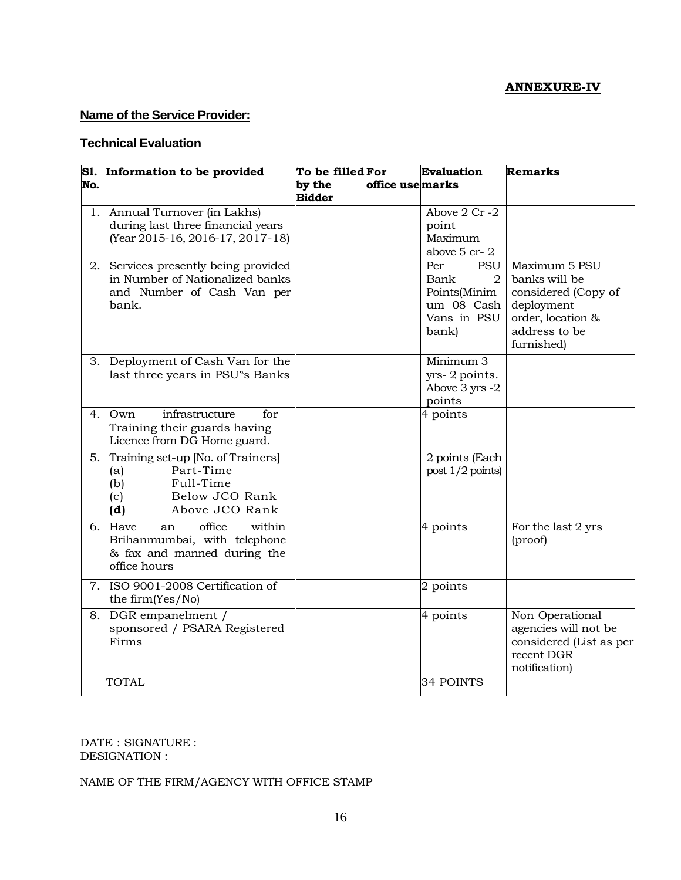## **ANNEXURE-IV**

## **Name of the Service Provider:**

## **Technical Evaluation**

|     | S1. Information to be provided                                                                                              | To be filledFor         |                 | Evaluation                                                                           | <b>Remarks</b>                                                                                                          |
|-----|-----------------------------------------------------------------------------------------------------------------------------|-------------------------|-----------------|--------------------------------------------------------------------------------------|-------------------------------------------------------------------------------------------------------------------------|
| No. |                                                                                                                             | by the<br><b>Bidder</b> | office usemarks |                                                                                      |                                                                                                                         |
| 1.  | Annual Turnover (in Lakhs)<br>during last three financial years<br>(Year 2015-16, 2016-17, 2017-18)                         |                         |                 | Above 2 Cr-2<br>point<br>Maximum<br>above $5$ cr- $2$                                |                                                                                                                         |
| 2.  | Services presently being provided<br>in Number of Nationalized banks<br>and Number of Cash Van per<br>bank.                 |                         |                 | Per<br><b>PSU</b><br>2<br>Bank<br>Points(Minim<br>um 08 Cash<br>Vans in PSU<br>bank) | Maximum 5 PSU<br>banks will be<br>considered (Copy of<br>deployment<br>order, location &<br>address to be<br>furnished) |
|     | 3. Deployment of Cash Van for the<br>last three years in PSU"s Banks                                                        |                         |                 | Minimum 3<br>yrs-2 points.<br>Above 3 yrs -2<br>points                               |                                                                                                                         |
| 4.  | infrastructure<br>Own<br>for<br>Training their guards having<br>Licence from DG Home guard.                                 |                         |                 | 4 points                                                                             |                                                                                                                         |
| 5.  | Training set-up [No. of Trainers]<br>Part-Time<br>(a)<br>(b)<br>Full-Time<br>Below JCO Rank<br>(c)<br>Above JCO Rank<br>(d) |                         |                 | 2 points (Each<br>post $1/2$ points)                                                 |                                                                                                                         |
| 6.  | office<br>Have<br>within<br>an<br>Brihanmumbai, with telephone<br>& fax and manned during the<br>office hours               |                         |                 | 4 points                                                                             | For the last 2 yrs<br>(proof)                                                                                           |
| 7.  | ISO 9001-2008 Certification of<br>the $firm(Yes/No)$                                                                        |                         |                 | $2$ points                                                                           |                                                                                                                         |
| 8.  | DGR empanelment /<br>sponsored / PSARA Registered<br>Firms                                                                  |                         |                 | 4 points                                                                             | Non Operational<br>agencies will not be<br>considered (List as per<br>recent DGR<br>notification)                       |
|     | <b>TOTAL</b>                                                                                                                |                         |                 | 34 POINTS                                                                            |                                                                                                                         |

DATE : SIGNATURE : DESIGNATION :

NAME OF THE FIRM/AGENCY WITH OFFICE STAMP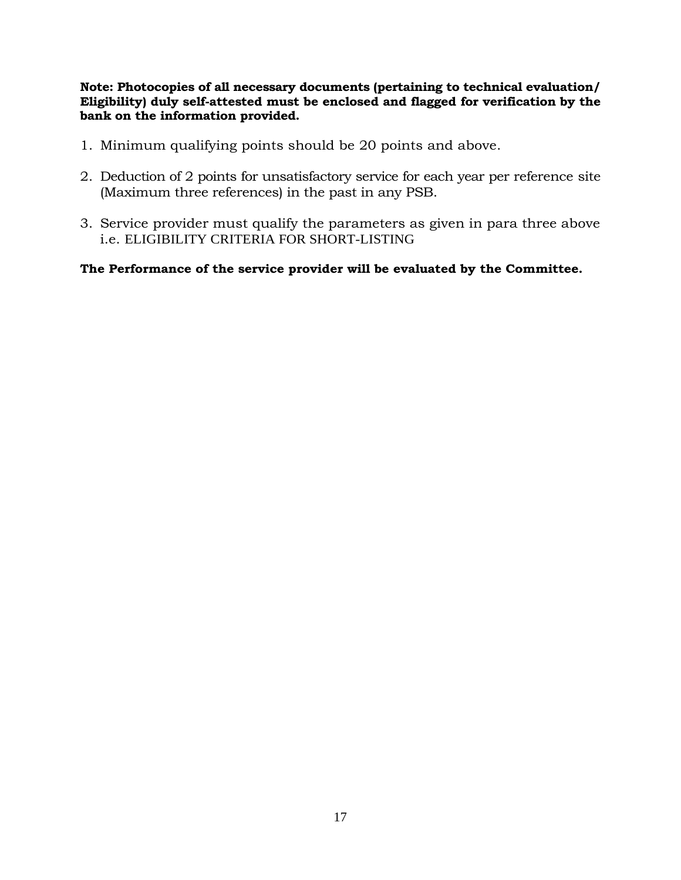**Note: Photocopies of all necessary documents (pertaining to technical evaluation/ Eligibility) duly self-attested must be enclosed and flagged for verification by the bank on the information provided.**

- 1. Minimum qualifying points should be 20 points and above.
- 2. Deduction of 2 points for unsatisfactory service for each year per reference site (Maximum three references) in the past in any PSB.
- 3. Service provider must qualify the parameters as given in para three above i.e. ELIGIBILITY CRITERIA FOR SHORT-LISTING

## **The Performance of the service provider will be evaluated by the Committee.**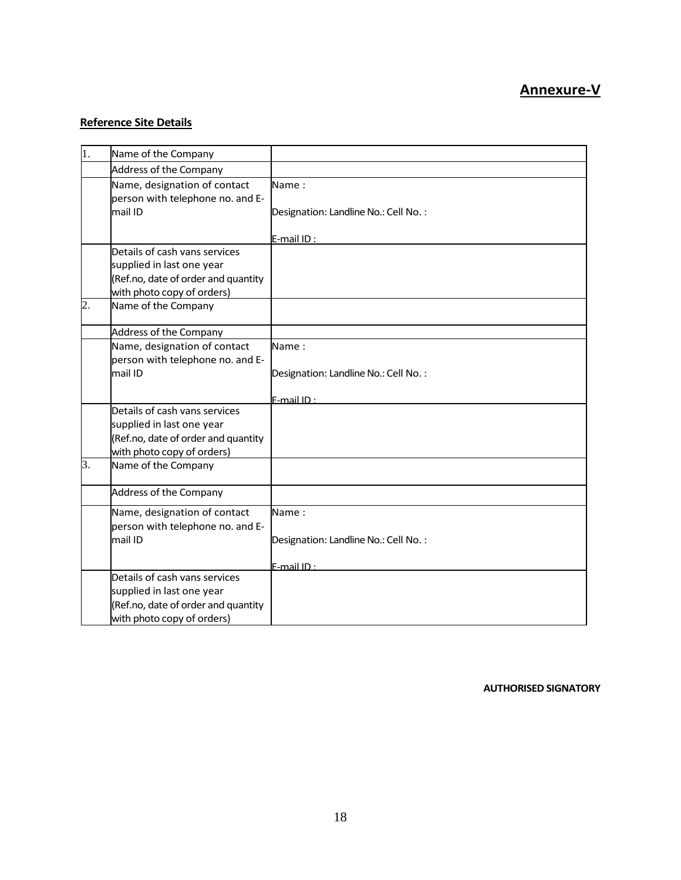# **Annexure-V**

## **Reference Site Details**

| Address of the Company<br>Name, designation of contact<br>person with telephone no. and E-<br>mail ID | Name:                                                                                     |
|-------------------------------------------------------------------------------------------------------|-------------------------------------------------------------------------------------------|
|                                                                                                       |                                                                                           |
|                                                                                                       | Designation: Landline No.: Cell No.:                                                      |
|                                                                                                       | E-mail ID:                                                                                |
| Details of cash vans services<br>supplied in last one year<br>(Ref.no, date of order and quantity     |                                                                                           |
| Name of the Company                                                                                   |                                                                                           |
| Address of the Company                                                                                |                                                                                           |
| Name, designation of contact<br>person with telephone no. and E-<br>mail ID                           | Name:<br>Designation: Landline No.: Cell No. :                                            |
|                                                                                                       | $F$ -mail ID:                                                                             |
| supplied in last one year<br>(Ref.no, date of order and quantity<br>with photo copy of orders)        |                                                                                           |
| Name of the Company                                                                                   |                                                                                           |
| Address of the Company                                                                                |                                                                                           |
| Name, designation of contact<br>person with telephone no. and E-<br>mail ID                           | Name:<br>Designation: Landline No.: Cell No. :                                            |
|                                                                                                       | E-mail ID:                                                                                |
| Details of cash vans services<br>supplied in last one year<br>(Ref.no, date of order and quantity     |                                                                                           |
|                                                                                                       | with photo copy of orders)<br>Details of cash vans services<br>with photo copy of orders) |

**AUTHORISED SIGNATORY**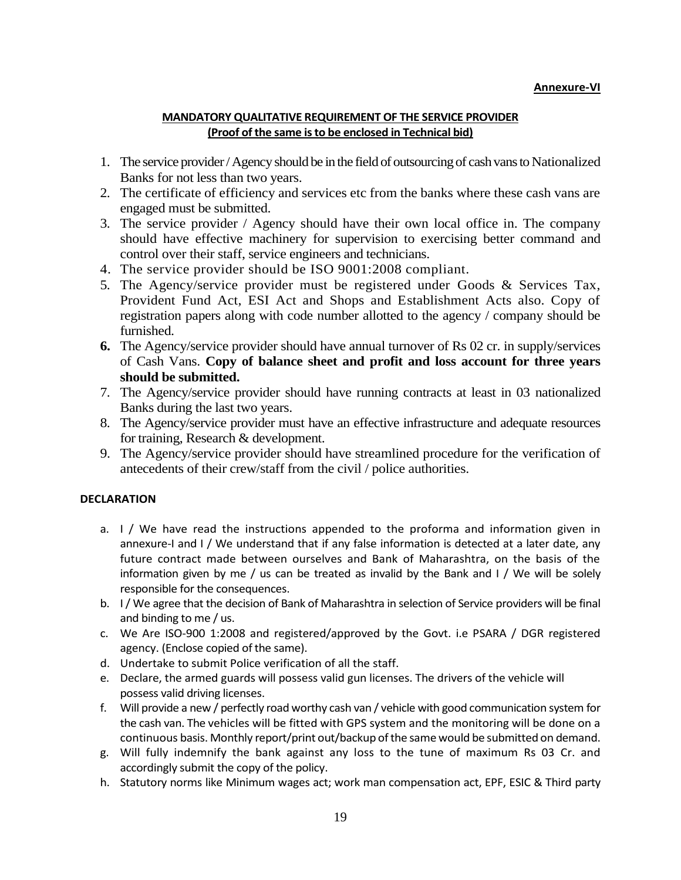#### **Annexure-VI**

#### **MANDATORY QUALITATIVE REQUIREMENT OF THE SERVICE PROVIDER (Proof of the same is to be enclosed in Technical bid)**

- 1. The service provider / Agency should be in the field of outsourcing of cash vans to Nationalized Banks for not less than two years.
- 2. The certificate of efficiency and services etc from the banks where these cash vans are engaged must be submitted.
- 3. The service provider / Agency should have their own local office in. The company should have effective machinery for supervision to exercising better command and control over their staff, service engineers and technicians.
- 4. The service provider should be ISO 9001:2008 compliant.
- 5. The Agency/service provider must be registered under Goods & Services Tax, Provident Fund Act, ESI Act and Shops and Establishment Acts also. Copy of registration papers along with code number allotted to the agency / company should be furnished.
- **6.** The Agency/service provider should have annual turnover of Rs 02 cr. in supply/services of Cash Vans. **Copy of balance sheet and profit and loss account for three years should be submitted.**
- 7. The Agency/service provider should have running contracts at least in 03 nationalized Banks during the last two years.
- 8. The Agency/service provider must have an effective infrastructure and adequate resources for training, Research & development.
- 9. The Agency/service provider should have streamlined procedure for the verification of antecedents of their crew/staff from the civil / police authorities.

## **DECLARATION**

- a.  $I /$  We have read the instructions appended to the proforma and information given in annexure-I and I / We understand that if any false information is detected at a later date, any future contract made between ourselves and Bank of Maharashtra, on the basis of the information given by me / us can be treated as invalid by the Bank and I / We will be solely responsible for the consequences.
- b. I / We agree that the decision of Bank of Maharashtra in selection of Service providers will be final and binding to me / us.
- c. We Are ISO-900 1:2008 and registered/approved by the Govt. i.e PSARA / DGR registered agency. (Enclose copied of the same).
- d. Undertake to submit Police verification of all the staff.
- e. Declare, the armed guards will possess valid gun licenses. The drivers of the vehicle will possess valid driving licenses.
- f. Will provide a new / perfectly road worthy cash van / vehicle with good communication system for the cash van. The vehicles will be fitted with GPS system and the monitoring will be done on a continuous basis. Monthly report/print out/backup of the same would be submitted on demand.
- g. Will fully indemnify the bank against any loss to the tune of maximum Rs 03 Cr. and accordingly submit the copy of the policy.
- h. Statutory norms like Minimum wages act; work man compensation act, EPF, ESIC & Third party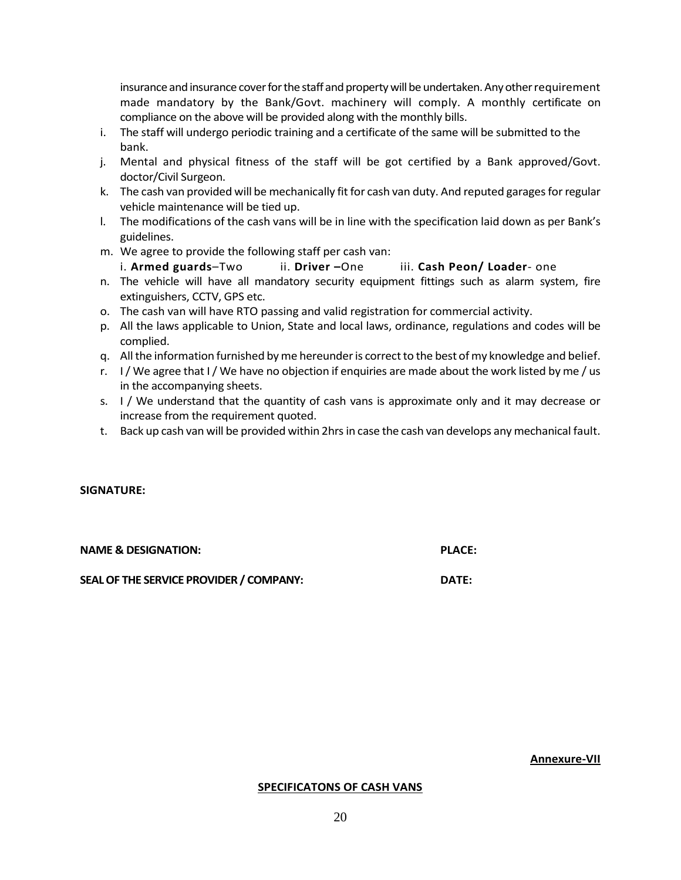insurance and insurance cover for the staff and property will be undertaken. Any other requirement made mandatory by the Bank/Govt. machinery will comply. A monthly certificate on compliance on the above will be provided along with the monthly bills.

- i. The staff will undergo periodic training and a certificate of the same will be submitted to the bank.
- j. Mental and physical fitness of the staff will be got certified by a Bank approved/Govt. doctor/Civil Surgeon.
- k. The cash van provided will be mechanically fit for cash van duty. And reputed garages for regular vehicle maintenance will be tied up.
- l. The modifications of the cash vans will be in line with the specification laid down as per Bank's guidelines.
- m. We agree to provide the following staff per cash van:
	- i. **Armed guards**–Two ii. **Driver –**One iii. **Cash Peon/ Loader** one
- n. The vehicle will have all mandatory security equipment fittings such as alarm system, fire extinguishers, CCTV, GPS etc.
- o. The cash van will have RTO passing and valid registration for commercial activity.
- p. All the laws applicable to Union, State and local laws, ordinance, regulations and codes will be complied.
- q. All the information furnished by me hereunder is correct to the best of my knowledge and belief.
- r. I / We agree that I / We have no objection if enquiries are made about the work listed by me / us in the accompanying sheets.
- s. I / We understand that the quantity of cash vans is approximate only and it may decrease or increase from the requirement quoted.
- t. Back up cash van will be provided within 2hrs in case the cash van develops any mechanical fault.

#### **SIGNATURE:**

| <b>NAME &amp; DESIGNATION:</b>          | <b>PLACE:</b> |
|-----------------------------------------|---------------|
| SEAL OF THE SERVICE PROVIDER / COMPANY: | DATE:         |

**Annexure-VII**

#### **SPECIFICATONS OF CASH VANS**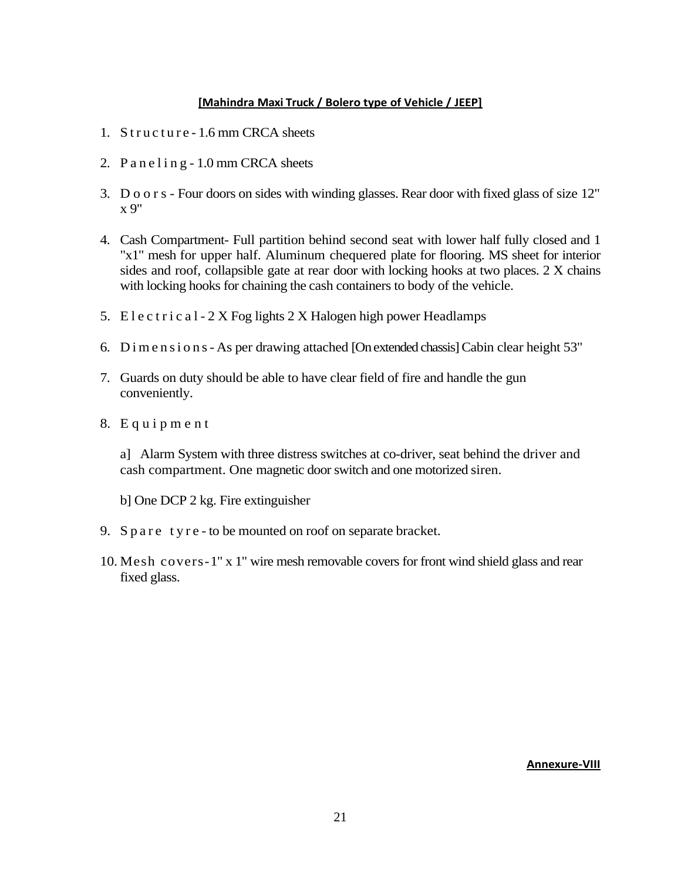#### **[Mahindra Maxi Truck / Bolero type of Vehicle / JEEP]**

- 1. Structure 1.6 mm CRCA sheets
- 2. Paneling 1.0 mm CRCA sheets
- 3. D o o r s Four doors on sides with winding glasses. Rear door with fixed glass of size 12" x 9"
- 4. Cash Compartment- Full partition behind second seat with lower half fully closed and 1 "x1" mesh for upper half. Aluminum chequered plate for flooring. MS sheet for interior sides and roof, collapsible gate at rear door with locking hooks at two places. 2 X chains with locking hooks for chaining the cash containers to body of the vehicle.
- 5. E l e c t r i c a l 2 X Fog lights 2 X Halogen high power Headlamps
- 6. D i m e n s i o n s- As per drawing attached [On extended chassis]Cabin clear height 53"
- 7. Guards on duty should be able to have clear field of fire and handle the gun conveniently.
- 8. E q u i p m e n t

a] Alarm System with three distress switches at co-driver, seat behind the driver and cash compartment. One magnetic door switch and one motorized siren.

b] One DCP 2 kg. Fire extinguisher

- 9. S  $p$  a r e t  $y$  r e to be mounted on roof on separate bracket.
- 10. Mesh covers-1" x 1" wire mesh removable covers for front wind shield glass and rear fixed glass.

**Annexure-VIII**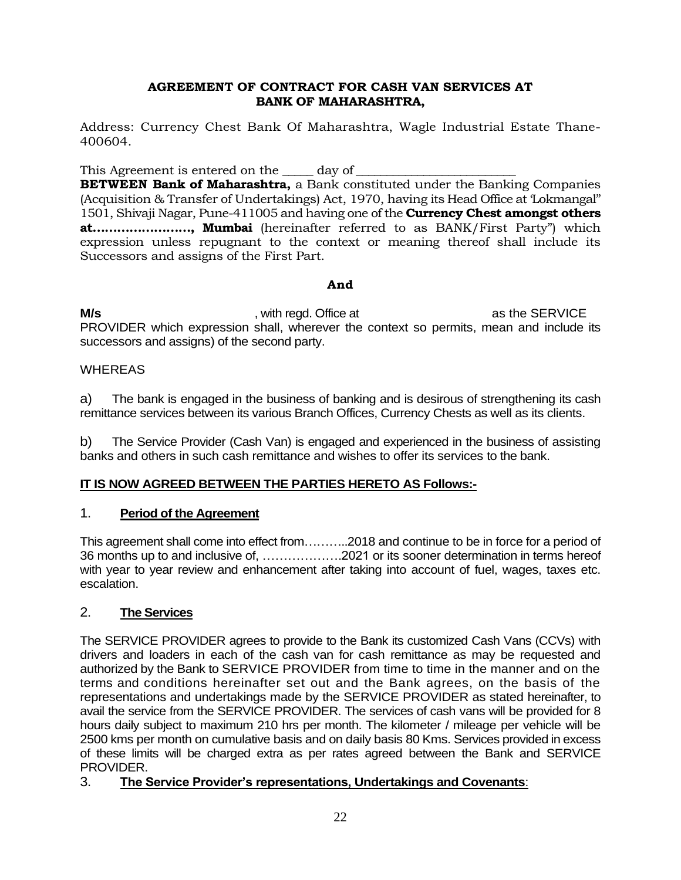## **AGREEMENT OF CONTRACT FOR CASH VAN SERVICES AT BANK OF MAHARASHTRA,**

Address: Currency Chest Bank Of Maharashtra, Wagle Industrial Estate Thane-400604.

This Agreement is entered on the \_\_\_\_\_\_\_ day of \_\_\_\_\_\_\_\_\_\_\_\_\_\_\_\_\_\_\_\_\_\_\_\_\_\_\_\_\_\_\_\_\_ **BETWEEN Bank of Maharashtra,** a Bank constituted under the Banking Companies (Acquisition & Transfer of Undertakings) Act, 1970, having its Head Office at 'Lokmangal" 1501, Shivaji Nagar, Pune-411005 and having one of the **Currency Chest amongst others at……………………, Mumbai** (hereinafter referred to as BANK/First Party") which expression unless repugnant to the context or meaning thereof shall include its Successors and assigns of the First Part.

### **And**

**M/s M/s** as the SERVICE stead. Office at the stead of the SERVICE PROVIDER which expression shall, wherever the context so permits, mean and include its successors and assigns) of the second party.

## WHEREAS

a) The bank is engaged in the business of banking and is desirous of strengthening its cash remittance services between its various Branch Offices, Currency Chests as well as its clients.

b) The Service Provider (Cash Van) is engaged and experienced in the business of assisting banks and others in such cash remittance and wishes to offer its services to the bank.

## **IT IS NOW AGREED BETWEEN THE PARTIES HERETO AS Follows:-**

## 1. **Period of the Agreement**

This agreement shall come into effect from………..2018 and continue to be in force for a period of 36 months up to and inclusive of, ……………….2021 or its sooner determination in terms hereof with year to year review and enhancement after taking into account of fuel, wages, taxes etc. escalation.

## 2. **The Services**

The SERVICE PROVIDER agrees to provide to the Bank its customized Cash Vans (CCVs) with drivers and loaders in each of the cash van for cash remittance as may be requested and authorized by the Bank to SERVICE PROVIDER from time to time in the manner and on the terms and conditions hereinafter set out and the Bank agrees, on the basis of the representations and undertakings made by the SERVICE PROVIDER as stated hereinafter, to avail the service from the SERVICE PROVIDER. The services of cash vans will be provided for 8 hours daily subject to maximum 210 hrs per month. The kilometer / mileage per vehicle will be 2500 kms per month on cumulative basis and on daily basis 80 Kms. Services provided in excess of these limits will be charged extra as per rates agreed between the Bank and SERVICE PROVIDER.

## 3. **The Service Provider's representations, Undertakings and Covenants**: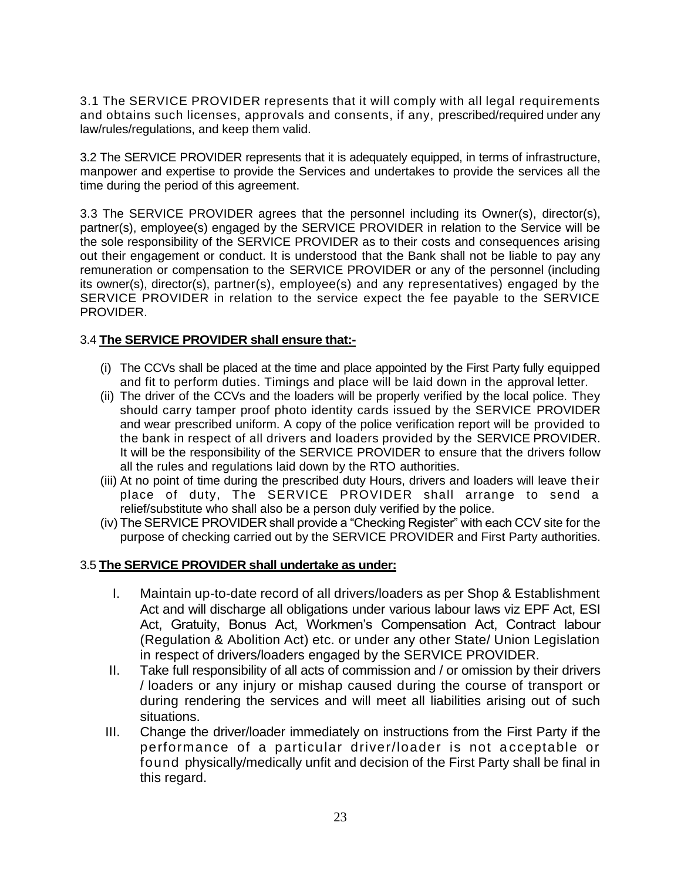3.1 The SERVICE PROVIDER represents that it will comply with all legal requirements and obtains such licenses, approvals and consents, if any, prescribed/required under any law/rules/regulations, and keep them valid.

3.2 The SERVICE PROVIDER represents that it is adequately equipped, in terms of infrastructure, manpower and expertise to provide the Services and undertakes to provide the services all the time during the period of this agreement.

3.3 The SERVICE PROVIDER agrees that the personnel including its Owner(s), director(s), partner(s), employee(s) engaged by the SERVICE PROVIDER in relation to the Service will be the sole responsibility of the SERVICE PROVIDER as to their costs and consequences arising out their engagement or conduct. It is understood that the Bank shall not be liable to pay any remuneration or compensation to the SERVICE PROVIDER or any of the personnel (including its owner(s), director(s), partner(s), employee(s) and any representatives) engaged by the SERVICE PROVIDER in relation to the service expect the fee payable to the SERVICE PROVIDER.

## 3.4 **The SERVICE PROVIDER shall ensure that:-**

- (i) The CCVs shall be placed at the time and place appointed by the First Party fully equipped and fit to perform duties. Timings and place will be laid down in the approval letter.
- (ii) The driver of the CCVs and the loaders will be properly verified by the local police. They should carry tamper proof photo identity cards issued by the SERVICE PROVIDER and wear prescribed uniform. A copy of the police verification report will be provided to the bank in respect of all drivers and loaders provided by the SERVICE PROVIDER. It will be the responsibility of the SERVICE PROVIDER to ensure that the drivers follow all the rules and regulations laid down by the RTO authorities.
- (iii) At no point of time during the prescribed duty Hours, drivers and loaders will leave their place of duty, The SERVICE PROVIDER shall arrange to send a relief/substitute who shall also be a person duly verified by the police.
- (iv) The SERVICE PROVIDER shall provide a "Checking Register" with each CCV site for the purpose of checking carried out by the SERVICE PROVIDER and First Party authorities.

## 3.5 **The SERVICE PROVIDER shall undertake as under:**

- I. Maintain up-to-date record of all drivers/loaders as per Shop & Establishment Act and will discharge all obligations under various labour laws viz EPF Act, ESI Act, Gratuity, Bonus Act, Workmen's Compensation Act, Contract labour (Regulation & Abolition Act) etc. or under any other State/ Union Legislation in respect of drivers/loaders engaged by the SERVICE PROVIDER.
- II. Take full responsibility of all acts of commission and / or omission by their drivers / loaders or any injury or mishap caused during the course of transport or during rendering the services and will meet all liabilities arising out of such situations.
- III. Change the driver/loader immediately on instructions from the First Party if the performance of a particular driver/loader is not a cceptable or found physically/medically unfit and decision of the First Party shall be final in this regard.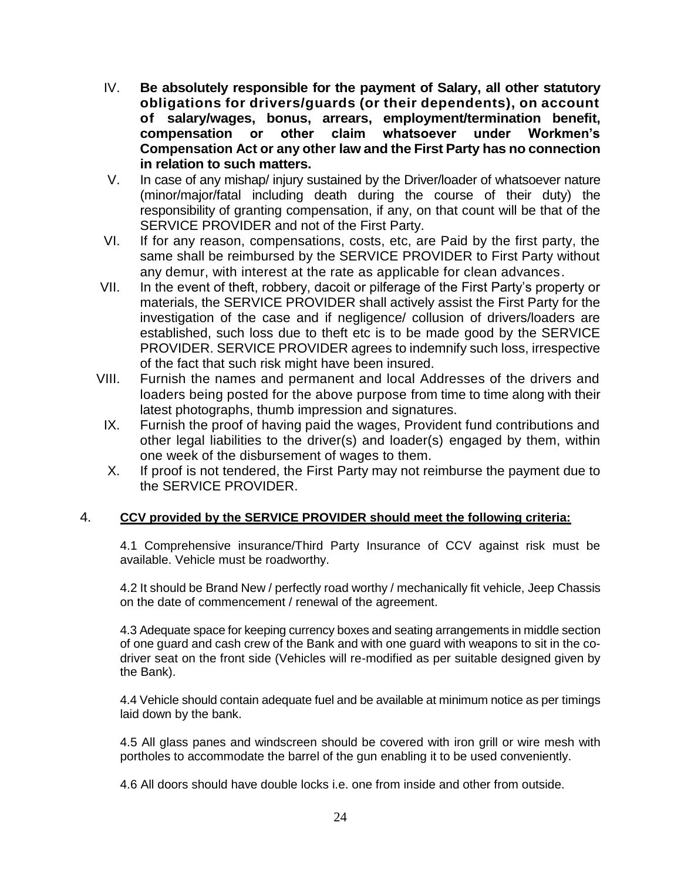- IV. **Be absolutely responsible for the payment of Salary, all other statutory obligations for drivers/guards (or their dependents), on account of salary/wages, bonus, arrears, employment/termination benefit, compensation or other claim whatsoever under Workmen's Compensation Act or any other law and the First Party has no connection in relation to such matters.**
- V. In case of any mishap/ injury sustained by the Driver/loader of whatsoever nature (minor/major/fatal including death during the course of their duty) the responsibility of granting compensation, if any, on that count will be that of the SERVICE PROVIDER and not of the First Party.
- VI. If for any reason, compensations, costs, etc, are Paid by the first party, the same shall be reimbursed by the SERVICE PROVIDER to First Party without any demur, with interest at the rate as applicable for clean advances.
- VII. In the event of theft, robbery, dacoit or pilferage of the First Party's property or materials, the SERVICE PROVIDER shall actively assist the First Party for the investigation of the case and if negligence/ collusion of drivers/loaders are established, such loss due to theft etc is to be made good by the SERVICE PROVIDER. SERVICE PROVIDER agrees to indemnify such loss, irrespective of the fact that such risk might have been insured.
- VIII. Furnish the names and permanent and local Addresses of the drivers and loaders being posted for the above purpose from time to time along with their latest photographs, thumb impression and signatures.
	- IX. Furnish the proof of having paid the wages, Provident fund contributions and other legal liabilities to the driver(s) and loader(s) engaged by them, within one week of the disbursement of wages to them.
	- X. If proof is not tendered, the First Party may not reimburse the payment due to the SERVICE PROVIDER.

## 4. **CCV provided by the SERVICE PROVIDER should meet the following criteria:**

4.1 Comprehensive insurance/Third Party Insurance of CCV against risk must be available. Vehicle must be roadworthy.

4.2 It should be Brand New / perfectly road worthy / mechanically fit vehicle, Jeep Chassis on the date of commencement / renewal of the agreement.

4.3 Adequate space for keeping currency boxes and seating arrangements in middle section of one guard and cash crew of the Bank and with one guard with weapons to sit in the codriver seat on the front side (Vehicles will re-modified as per suitable designed given by the Bank).

4.4 Vehicle should contain adequate fuel and be available at minimum notice as per timings laid down by the bank.

4.5 All glass panes and windscreen should be covered with iron grill or wire mesh with portholes to accommodate the barrel of the gun enabling it to be used conveniently.

4.6 All doors should have double locks i.e. one from inside and other from outside.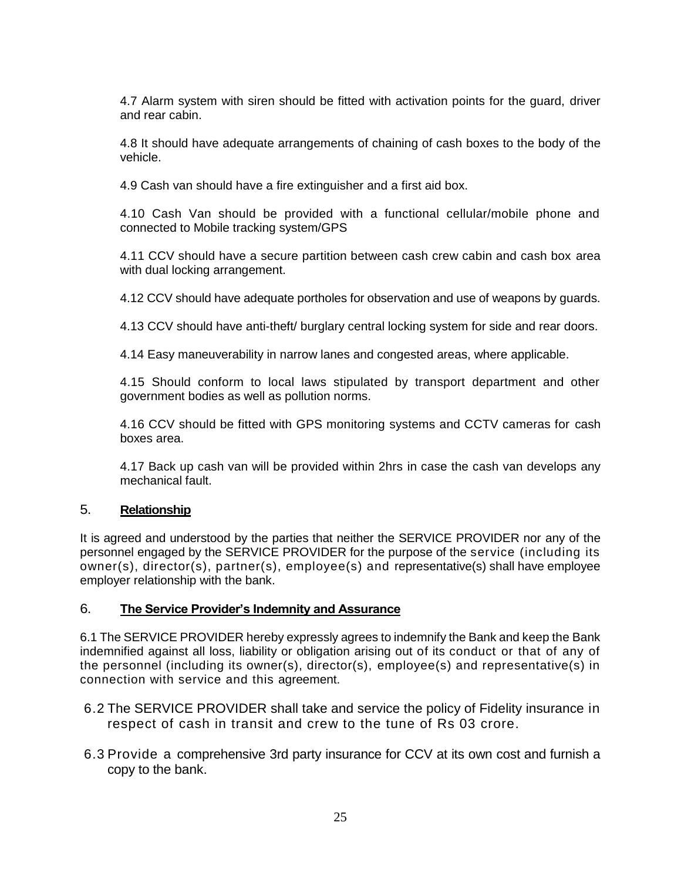4.7 Alarm system with siren should be fitted with activation points for the guard, driver and rear cabin.

4.8 It should have adequate arrangements of chaining of cash boxes to the body of the vehicle.

4.9 Cash van should have a fire extinguisher and a first aid box.

4.10 Cash Van should be provided with a functional cellular/mobile phone and connected to Mobile tracking system/GPS

4.11 CCV should have a secure partition between cash crew cabin and cash box area with dual locking arrangement.

4.12 CCV should have adequate portholes for observation and use of weapons by guards.

4.13 CCV should have anti-theft/ burglary central locking system for side and rear doors.

4.14 Easy maneuverability in narrow lanes and congested areas, where applicable.

4.15 Should conform to local laws stipulated by transport department and other government bodies as well as pollution norms.

4.16 CCV should be fitted with GPS monitoring systems and CCTV cameras for cash boxes area.

4.17 Back up cash van will be provided within 2hrs in case the cash van develops any mechanical fault.

## 5. **Relationship**

It is agreed and understood by the parties that neither the SERVICE PROVIDER nor any of the personnel engaged by the SERVICE PROVIDER for the purpose of the service (including its owner(s), director(s), partner(s), employee(s) and representative(s) shall have employee employer relationship with the bank.

## 6. **The Service Provider's Indemnity and Assurance**

6.1 The SERVICE PROVIDER hereby expressly agrees to indemnify the Bank and keep the Bank indemnified against all loss, liability or obligation arising out of its conduct or that of any of the personnel (including its owner(s), director(s), employee(s) and representative(s) in connection with service and this agreement.

- 6.2 The SERVICE PROVIDER shall take and service the policy of Fidelity insurance in respect of cash in transit and crew to the tune of Rs 03 crore.
- 6.3 Provide a comprehensive 3rd party insurance for CCV at its own cost and furnish a copy to the bank.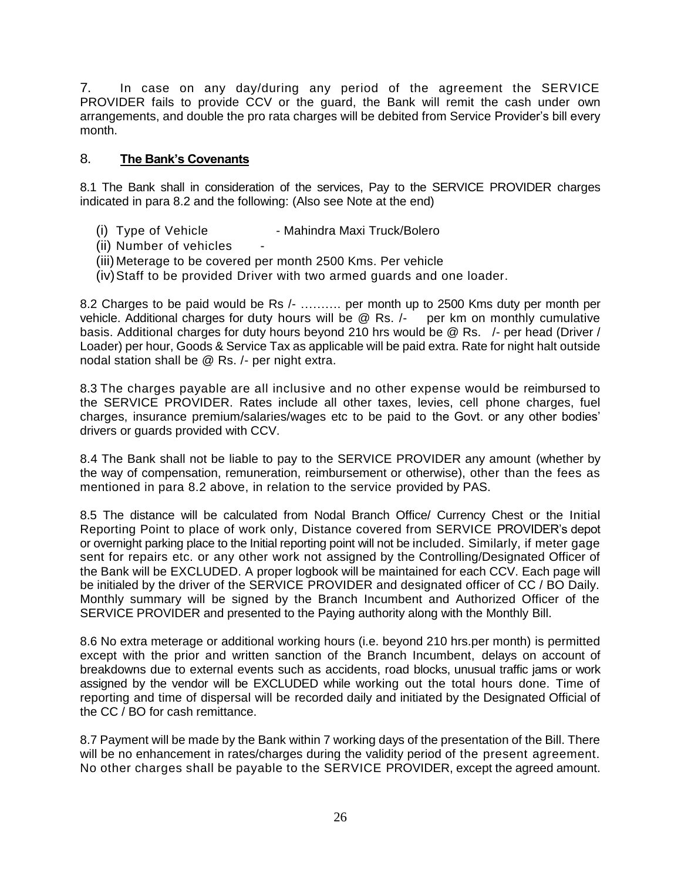7. In case on any day/during any period of the agreement the SERVICE PROVIDER fails to provide CCV or the guard, the Bank will remit the cash under own arrangements, and double the pro rata charges will be debited from Service Provider's bill every month.

## 8. **The Bank's Covenants**

8.1 The Bank shall in consideration of the services, Pay to the SERVICE PROVIDER charges indicated in para 8.2 and the following: (Also see Note at the end)

- (i) Type of Vehicle Mahindra Maxi Truck/Bolero
- (ii) Number of vehicles -
- (iii) Meterage to be covered per month 2500 Kms. Per vehicle
- (iv)Staff to be provided Driver with two armed guards and one loader.

8.2 Charges to be paid would be Rs /- ………. per month up to 2500 Kms duty per month per vehicle. Additional charges for duty hours will be @ Rs. /- per km on monthly cumulative basis. Additional charges for duty hours beyond 210 hrs would be @ Rs. /- per head (Driver / Loader) per hour, Goods & Service Tax as applicable will be paid extra. Rate for night halt outside nodal station shall be @ Rs. /- per night extra.

8.3 The charges payable are all inclusive and no other expense would be reimbursed to the SERVICE PROVIDER. Rates include all other taxes, levies, cell phone charges, fuel charges, insurance premium/salaries/wages etc to be paid to the Govt. or any other bodies' drivers or guards provided with CCV.

8.4 The Bank shall not be liable to pay to the SERVICE PROVIDER any amount (whether by the way of compensation, remuneration, reimbursement or otherwise), other than the fees as mentioned in para 8.2 above, in relation to the service provided by PAS.

8.5 The distance will be calculated from Nodal Branch Office/ Currency Chest or the Initial Reporting Point to place of work only, Distance covered from SERVICE PROVIDER's depot or overnight parking place to the Initial reporting point will not be included. Similarly, if meter gage sent for repairs etc. or any other work not assigned by the Controlling/Designated Officer of the Bank will be EXCLUDED. A proper logbook will be maintained for each CCV. Each page will be initialed by the driver of the SERVICE PROVIDER and designated officer of CC / BO Daily. Monthly summary will be signed by the Branch Incumbent and Authorized Officer of the SERVICE PROVIDER and presented to the Paying authority along with the Monthly Bill.

8.6 No extra meterage or additional working hours (i.e. beyond 210 hrs.per month) is permitted except with the prior and written sanction of the Branch Incumbent, delays on account of breakdowns due to external events such as accidents, road blocks, unusual traffic jams or work assigned by the vendor will be EXCLUDED while working out the total hours done. Time of reporting and time of dispersal will be recorded daily and initiated by the Designated Official of the CC / BO for cash remittance.

8.7 Payment will be made by the Bank within 7 working days of the presentation of the Bill. There will be no enhancement in rates/charges during the validity period of the present agreement. No other charges shall be payable to the SERVICE PROVIDER, except the agreed amount.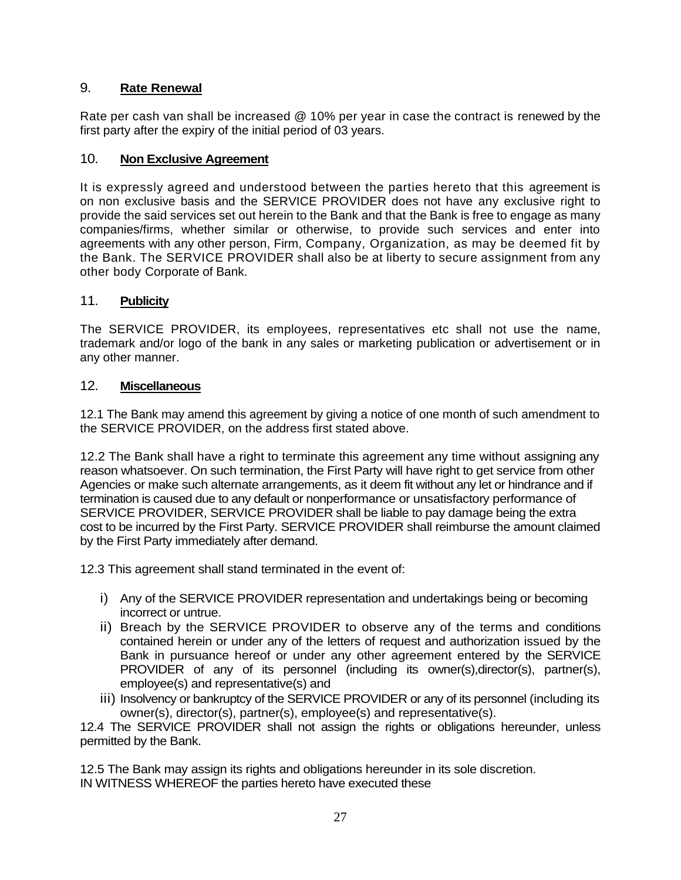## 9. **Rate Renewal**

Rate per cash van shall be increased @ 10% per year in case the contract is renewed by the first party after the expiry of the initial period of 03 years.

## 10. **Non Exclusive Agreement**

It is expressly agreed and understood between the parties hereto that this agreement is on non exclusive basis and the SERVICE PROVIDER does not have any exclusive right to provide the said services set out herein to the Bank and that the Bank is free to engage as many companies/firms, whether similar or otherwise, to provide such services and enter into agreements with any other person, Firm, Company, Organization, as may be deemed fit by the Bank. The SERVICE PROVIDER shall also be at liberty to secure assignment from any other body Corporate of Bank.

## 11. **Publicity**

The SERVICE PROVIDER, its employees, representatives etc shall not use the name, trademark and/or logo of the bank in any sales or marketing publication or advertisement or in any other manner.

## 12. **Miscellaneous**

12.1 The Bank may amend this agreement by giving a notice of one month of such amendment to the SERVICE PROVIDER, on the address first stated above.

12.2 The Bank shall have a right to terminate this agreement any time without assigning any reason whatsoever. On such termination, the First Party will have right to get service from other Agencies or make such alternate arrangements, as it deem fit without any let or hindrance and if termination is caused due to any default or nonperformance or unsatisfactory performance of SERVICE PROVIDER, SERVICE PROVIDER shall be liable to pay damage being the extra cost to be incurred by the First Party. SERVICE PROVIDER shall reimburse the amount claimed by the First Party immediately after demand.

12.3 This agreement shall stand terminated in the event of:

- i) Any of the SERVICE PROVIDER representation and undertakings being or becoming incorrect or untrue.
- ii) Breach by the SERVICE PROVIDER to observe any of the terms and conditions contained herein or under any of the letters of request and authorization issued by the Bank in pursuance hereof or under any other agreement entered by the SERVICE PROVIDER of any of its personnel (including its owner(s), director(s), partner(s), employee(s) and representative(s) and
- iii) Insolvency or bankruptcy of the SERVICE PROVIDER or any of its personnel (including its owner(s), director(s), partner(s), employee(s) and representative(s).

12.4 The SERVICE PROVIDER shall not assign the rights or obligations hereunder, unless permitted by the Bank.

12.5 The Bank may assign its rights and obligations hereunder in its sole discretion. IN WITNESS WHEREOF the parties hereto have executed these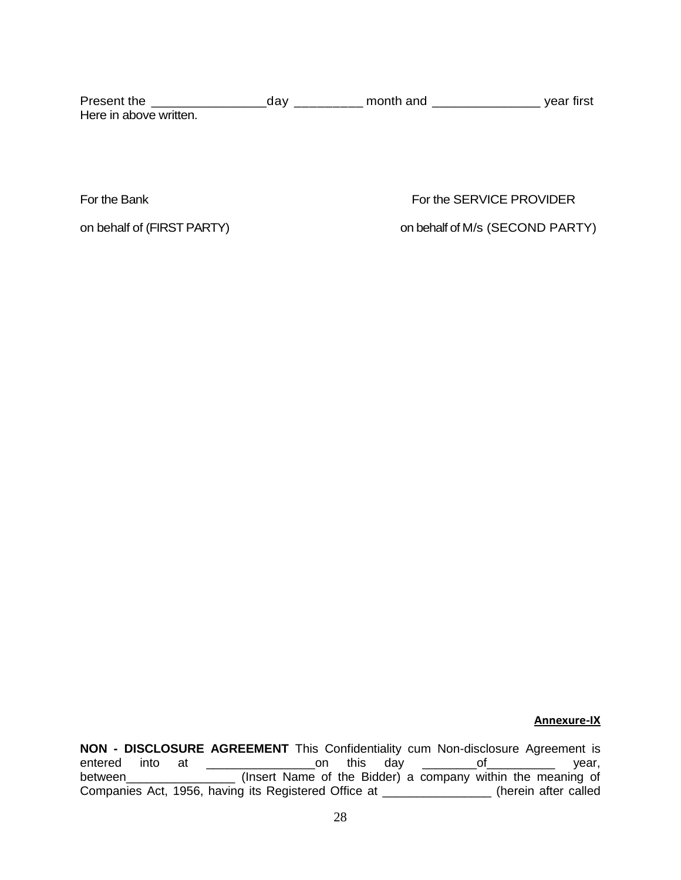Present the \_\_\_\_\_\_\_\_\_\_\_\_\_\_\_\_day \_\_\_\_\_\_\_\_\_ month and \_\_\_\_\_\_\_\_\_\_\_\_\_\_\_ year first Here in above written.

For the Bank For the SERVICE PROVIDER

on behalf of (FIRST PARTY) on behalf of M/s (SECOND PARTY)

**Annexure-IX**

**NON - DISCLOSURE AGREEMENT** This Confidentiality cum Non-disclosure Agreement is entered into at \_\_\_\_\_\_\_\_\_\_\_\_\_\_\_\_\_\_\_\_\_\_\_on this day \_\_\_\_\_\_\_\_\_\_of\_\_\_\_\_\_\_\_\_\_\_\_\_\_ year, between\_\_\_\_\_\_\_\_\_\_\_\_\_\_\_\_ (Insert Name of the Bidder) a company within the meaning of Companies Act, 1956, having its Registered Office at \_\_\_\_\_\_\_\_\_\_\_\_\_\_\_\_ (herein after called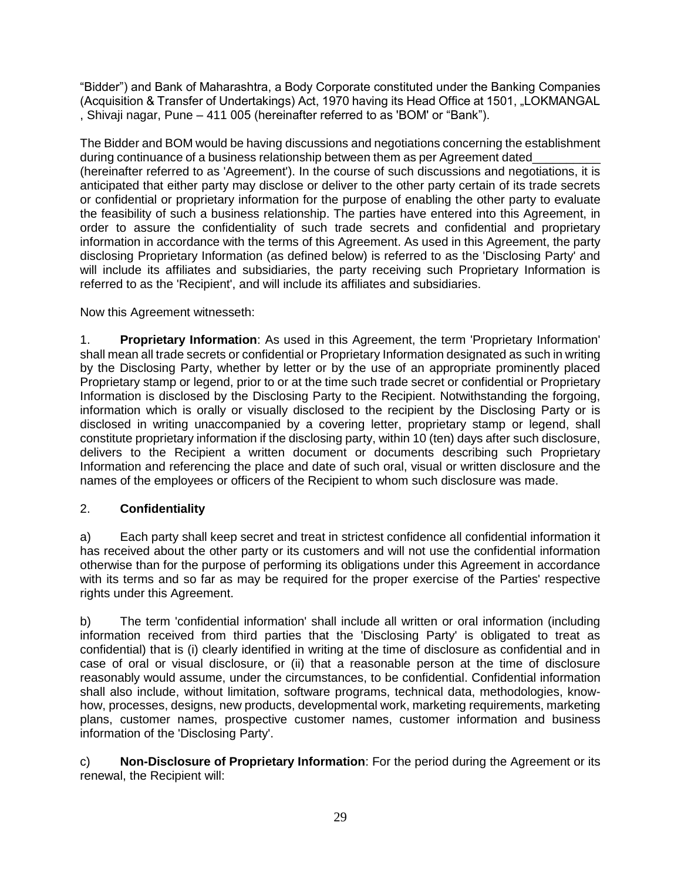"Bidder") and Bank of Maharashtra, a Body Corporate constituted under the Banking Companies (Acquisition & Transfer of Undertakings) Act, 1970 having its Head Office at 1501, "LOKMANGAL , Shivaji nagar, Pune – 411 005 (hereinafter referred to as 'BOM' or "Bank").

The Bidder and BOM would be having discussions and negotiations concerning the establishment during continuance of a business relationship between them as per Agreement dated\_\_\_\_\_\_\_\_\_\_ (hereinafter referred to as 'Agreement'). In the course of such discussions and negotiations, it is anticipated that either party may disclose or deliver to the other party certain of its trade secrets or confidential or proprietary information for the purpose of enabling the other party to evaluate the feasibility of such a business relationship. The parties have entered into this Agreement, in order to assure the confidentiality of such trade secrets and confidential and proprietary information in accordance with the terms of this Agreement. As used in this Agreement, the party disclosing Proprietary Information (as defined below) is referred to as the 'Disclosing Party' and will include its affiliates and subsidiaries, the party receiving such Proprietary Information is referred to as the 'Recipient', and will include its affiliates and subsidiaries.

Now this Agreement witnesseth:

1. **Proprietary Information**: As used in this Agreement, the term 'Proprietary Information' shall mean all trade secrets or confidential or Proprietary Information designated as such in writing by the Disclosing Party, whether by letter or by the use of an appropriate prominently placed Proprietary stamp or legend, prior to or at the time such trade secret or confidential or Proprietary Information is disclosed by the Disclosing Party to the Recipient. Notwithstanding the forgoing, information which is orally or visually disclosed to the recipient by the Disclosing Party or is disclosed in writing unaccompanied by a covering letter, proprietary stamp or legend, shall constitute proprietary information if the disclosing party, within 10 (ten) days after such disclosure, delivers to the Recipient a written document or documents describing such Proprietary Information and referencing the place and date of such oral, visual or written disclosure and the names of the employees or officers of the Recipient to whom such disclosure was made.

## 2. **Confidentiality**

a) Each party shall keep secret and treat in strictest confidence all confidential information it has received about the other party or its customers and will not use the confidential information otherwise than for the purpose of performing its obligations under this Agreement in accordance with its terms and so far as may be required for the proper exercise of the Parties' respective rights under this Agreement.

b) The term 'confidential information' shall include all written or oral information (including information received from third parties that the 'Disclosing Party' is obligated to treat as confidential) that is (i) clearly identified in writing at the time of disclosure as confidential and in case of oral or visual disclosure, or (ii) that a reasonable person at the time of disclosure reasonably would assume, under the circumstances, to be confidential. Confidential information shall also include, without limitation, software programs, technical data, methodologies, knowhow, processes, designs, new products, developmental work, marketing requirements, marketing plans, customer names, prospective customer names, customer information and business information of the 'Disclosing Party'.

c) **Non-Disclosure of Proprietary Information**: For the period during the Agreement or its renewal, the Recipient will: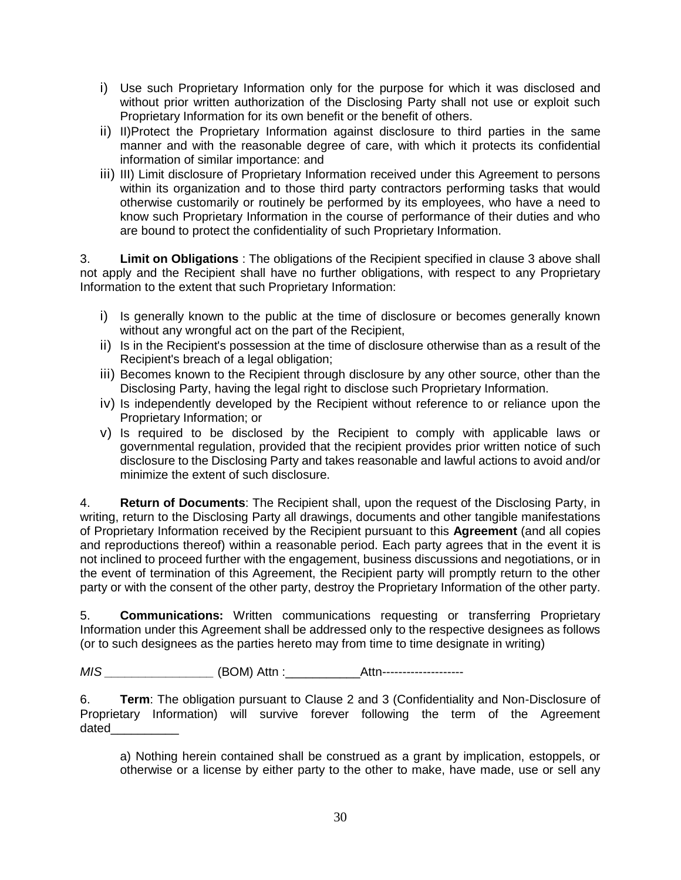- i) Use such Proprietary Information only for the purpose for which it was disclosed and without prior written authorization of the Disclosing Party shall not use or exploit such Proprietary Information for its own benefit or the benefit of others.
- ii) II)Protect the Proprietary Information against disclosure to third parties in the same manner and with the reasonable degree of care, with which it protects its confidential information of similar importance: and
- iii) III) Limit disclosure of Proprietary Information received under this Agreement to persons within its organization and to those third party contractors performing tasks that would otherwise customarily or routinely be performed by its employees, who have a need to know such Proprietary Information in the course of performance of their duties and who are bound to protect the confidentiality of such Proprietary Information.

3. **Limit on Obligations** : The obligations of the Recipient specified in clause 3 above shall not apply and the Recipient shall have no further obligations, with respect to any Proprietary Information to the extent that such Proprietary Information:

- i) Is generally known to the public at the time of disclosure or becomes generally known without any wrongful act on the part of the Recipient,
- ii) Is in the Recipient's possession at the time of disclosure otherwise than as a result of the Recipient's breach of a legal obligation;
- iii) Becomes known to the Recipient through disclosure by any other source, other than the Disclosing Party, having the legal right to disclose such Proprietary Information.
- iv) Is independently developed by the Recipient without reference to or reliance upon the Proprietary Information; or
- v) Is required to be disclosed by the Recipient to comply with applicable laws or governmental regulation, provided that the recipient provides prior written notice of such disclosure to the Disclosing Party and takes reasonable and lawful actions to avoid and/or minimize the extent of such disclosure.

4. **Return of Documents**: The Recipient shall, upon the request of the Disclosing Party, in writing, return to the Disclosing Party all drawings, documents and other tangible manifestations of Proprietary Information received by the Recipient pursuant to this **Agreement** (and all copies and reproductions thereof) within a reasonable period. Each party agrees that in the event it is not inclined to proceed further with the engagement, business discussions and negotiations, or in the event of termination of this Agreement, the Recipient party will promptly return to the other party or with the consent of the other party, destroy the Proprietary Information of the other party.

5. **Communications:** Written communications requesting or transferring Proprietary Information under this Agreement shall be addressed only to the respective designees as follows (or to such designees as the parties hereto may from time to time designate in writing)

*MIS \_\_\_\_\_\_\_\_\_\_\_\_\_\_\_\_* (BOM) Attn :\_\_\_\_\_\_\_\_\_\_\_Attn--------------------

6. **Term**: The obligation pursuant to Clause 2 and 3 (Confidentiality and Non-Disclosure of Proprietary Information) will survive forever following the term of the Agreement dated\_\_\_\_\_\_\_\_\_\_

a) Nothing herein contained shall be construed as a grant by implication, estoppels, or otherwise or a license by either party to the other to make, have made, use or sell any